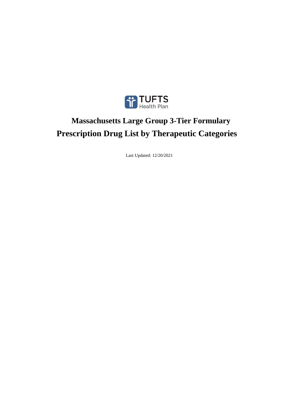

# **Prescription Drug List by Therapeutic Categories Massachusetts Large Group 3-Tier Formulary**

Last Updated: 12/20/2021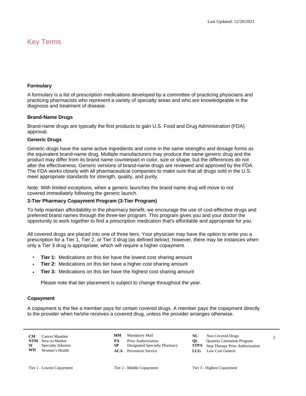# Key Terms

# **Formulary**

A formulary is a list of prescription medications developed by a committee of practicing physicians and practicing pharmacists who represent a variety of specialty areas and who are knowledgeable in the diagnosis and treatment of disease.

# **Brand-Name Drugs**

Brand-name drugs are typically the first products to gain U.S. Food and Drug Administration (FDA) approval.

# **Generic Drugs**

Generic drugs have the same active ingredients and come in the same strengths and dosage forms as the equivalent brand-name drug. Multiple manufacturers may produce the same generic drug and the product may differ from its brand name counterpart in color, size or shape, but the differences do not alter the effectiveness. Generic versions of brand-name drugs are reviewed and approved by the FDA. The FDA works closely with all pharmaceutical companies to make sure that all drugs sold in the U.S. meet appropriate standards for strength, quality, and purity.

Note: With limited exceptions, when a generic launches the brand name drug will move to not covered immediately following the generic launch.

# **3-Tier Pharmacy Copayment Program (3-Tier Program)**

To help maintain affordability in the pharmacy benefit, we encourage the use of cost-effective drugs and preferred brand names through the three-tier program. This program gives you and your doctor the opportunity to work together to find a prescription medication that's affordable and appropriate for you.

All covered drugs are placed into one of three tiers. Your physician may have the option to write you a prescription for a Tier 1, Tier 2, or Tier 3 drug (as defined below); however, there may be instances when only a Tier 3 drug is appropriate, which will require a higher copayment.

- **Tier 1:** Medications on this tier have the lowest cost sharing amount •
- **Tier 2:** Medications on this tier have a higher cost sharing amount •
- **Tier 3:** Medications on this tier have the highest cost sharing amount •

Please note that tier placement is subject to change throughout the year.

# **Copayment**

A copayment is the fee a member pays for certain covered drugs. A member pays the copayment directly to the provider when he/she receives a covered drug, unless the provider arranges otherwise.

**CM** Cancer Mandate<br>**NTM** New-to-Market **WH** Women's Health **MM** Mandatory Mail

**CM** 2 Cancer Mandate 2 2 MM Mandatory Mail 2 2 NC Non Covered Drugs New-to-Market **PA** Prior Authorization **QL** Quantity Limitation Program<br> **PA** Prior Authorization **PA** Designated Specialty Pharmacy **STPA** Step Therapy Prior Authoriza **SI** Specialty Infusion **SP** Designated Specialty Pharmacy **STPA** Step Therapy Prior Authorization NC Non Covered Drugs **ACA** Preventive Service **LCG** Low Cost Generic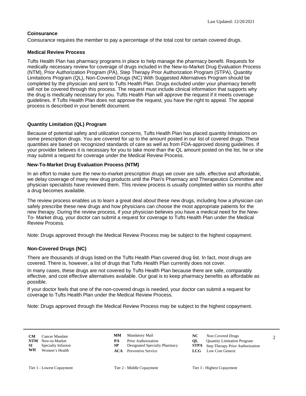# **Coinsurance**

Coinsurance requires the member to pay a percentage of the total cost for certain covered drugs.

# **Medical Review Process**

Tufts Health Plan has pharmacy programs in place to help manage the pharmacy benefit. Requests for medically necessary review for coverage of drugs included in the New-to-Market Drug Evaluation Process (NTM), Prior Authorization Program (PA), Step Therapy Prior Authorization Program (STPA), Quantity Limitations Program (QL), Non-Covered Drugs (NC) With Suggested Alternatives Program should be completed by the physician and sent to Tufts Health Plan. Drugs excluded under your pharmacy benefit will not be covered through this process. The request must include clinical information that supports why the drug is medically necessary for you. Tufts Health Plan will approve the request if it meets coverage guidelines. If Tufts Health Plan does not approve the request, you have the right to appeal. The appeal process is described in your benefit document.

# **Quantity Limitation (QL) Program**

Because of potential safety and utilization concerns, Tufts Health Plan has placed quantity limitations on some prescription drugs. You are covered for up to the amount posted in our list of covered drugs. These quantities are based on recognized standards of care as well as from FDA-approved dosing guidelines. If your provider believes it is necessary for you to take more than the QL amount posted on the list, he or she may submit a request for coverage under the Medical Review Process.

# **New-To-Market Drug Evaluation Process (NTM)**

In an effort to make sure the new-to-market prescription drugs we cover are safe, effective and affordable, we delay coverage of many new drug products until the Plan's Pharmacy and Therapeutics Committee and physician specialists have reviewed them. This review process is usually completed within six months after a drug becomes available.

The review process enables us to learn a great deal about these new drugs, including how a physician can safely prescribe these new drugs and how physicians can choose the most appropriate patients for the new therapy. During the review process, if your physician believes you have a medical need for the New-To- Market drug, your doctor can submit a request for coverage to Tufts Health Plan under the Medical Review Process.

Note: Drugs approved through the Medical Review Process may be subject to the highest copayment.

# **Non-Covered Drugs (NC)**

There are thousands of drugs listed on the Tufts Health Plan covered drug list. In fact, most drugs are covered. There is, however, a list of drugs that Tufts Health Plan currently does not cover.

In many cases, these drugs are not covered by Tufts Health Plan because there are safe, comparably effective, and cost effective alternatives available. Our goal is to keep pharmacy benefits as affordable as possible.

If your doctor feels that one of the non-covered drugs is needed, your doctor can submit a request for coverage to Tufts Health Plan under the Medical Review Process.

Note: Drugs approved through the Medical Review Process may be subject to the highest copayment.

| CМ         | Cancer Mandate     |
|------------|--------------------|
| <b>NTM</b> | New-to-Market      |
| SI.        | Specialty Infusion |
| WH         | Women's Health     |

**MM** Mandatory Mail

**ACA** Preventive Service **LCG** Low Cost Generic

**CM** Cancer Mandate **CMM** Mandatory Mail **NC** Non Covered Drugs 2 **PA** Prior Authorization<br> **NTM** Designated Specialty Pharmacy<br> **STPA** Step Therapy Prior Authoriza **STPA** Step Therapy Prior Authorization **NC** Non Covered Drugs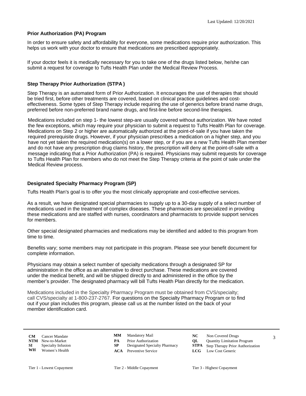# **Prior Authorization (PA) Program**

In order to ensure safety and affordability for everyone, some medications require prior authorization. This helps us work with your doctor to ensure that medications are prescribed appropriately.

If your doctor feels it is medically necessary for you to take one of the drugs listed below, he/she can submit a request for coverage to Tufts Health Plan under the Medical Review Process.

# **Step Therapy Prior Authorization (STPA )**

Step Therapy is an automated form of Prior Authorization. It encourages the use of therapies that should be tried first, before other treatments are covered, based on clinical practice guidelines and costeffectiveness. Some types of Step Therapy include requiring the use of generics before brand name drugs, preferred before non-preferred brand name drugs, and first-line before second-line therapies.

Medications included on step 1- the lowest step-are usually covered without authorization. We have noted the few exceptions, which may require your physician to submit a request to Tufts Health Plan for coverage. Medications on Step 2 or higher are automatically authorized at the point-of-sale if you have taken the required prerequisite drugs. However, if your physician prescribes a medication on a higher step, and you have not yet taken the required medication(s) on a lower step, or if you are a new Tufts Health Plan member and do not have any prescription drug claims history, the prescription will deny at the point-of-sale with a message indicating that a Prior Authorization (PA) is required. Physicians may submit requests for coverage to Tufts Health Plan for members who do not meet the Step Therapy criteria at the point of sale under the Medical Review process.

# **Designated Specialty Pharmacy Program (SP)**

Tufts Health Plan's goal is to offer you the most clinically appropriate and cost-effective services.

As a result, we have designated special pharmacies to supply up to a 30-day supply of a select number of medications used in the treatment of complex diseases. These pharmacies are specialized in providing these medications and are staffed with nurses, coordinators and pharmacists to provide support services for members.

Other special designated pharmacies and medications may be identified and added to this program from time to time.

Benefits vary; some members may not participate in this program. Please see your benefit document for complete information.

Physicians may obtain a select number of specialty medications through a designated SP for administration in the office as an alternative to direct purchase. These medications are covered under the medical benefit, and will be shipped directly to and administered in the office by the member's provider. The designated pharmacy will bill Tufts Health Plan directly for the medication.

Medications included in the Specialty Pharmacy Program must be obtained from CVS/specialty; call CVS/specialty at 1-800-237-2767. For questions on the Specialty Pharmacy Program or to find out if your plan includes this program, please call us at the number listed on the back of your member identification card.

| CМ  | Cancer Mandate     |
|-----|--------------------|
| NTM | New-to-Market      |
| SТ  | Specialty Infusion |
| WH  | Women's Health     |

**MM** Mandatory Mail

- **CM** Cancer Mandate **CMM** Mandatory Mail **NC** Non Covered Drugs 3 **PA** Prior Authorization<br> **NTM** Designated Specialty Pharmacy<br> **STPA** Step Therapy Prior Authoriza **STPA** Step Therapy Prior Authorization **NC** Non Covered Drugs
	- **ACA** Preventive Service **LCG** Low Cost Generic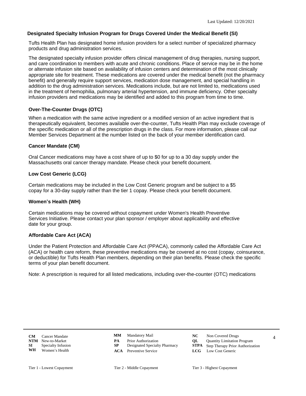# **Designated Specialty Infusion Program for Drugs Covered Under the Medical Benefit (SI)**

Tufts Health Plan has designated home infusion providers for a select number of specialized pharmacy products and drug administration services.

The designated specialty infusion provider offers clinical management of drug therapies, nursing support, and care coordination to members with acute and chronic conditions. Place of service may be in the home or alternate infusion site based on availability of infusion centers and determination of the most clinically appropriate site for treatment. These medications are covered under the medical benefit (not the pharmacy benefit) and generally require support services, medication dose management, and special handling in addition to the drug administration services. Medications include, but are not limited to, medications used in the treatment of hemophilia, pulmonary arterial hypertension, and immune deficiency. Other specialty infusion providers and medications may be identified and added to this program from time to time.

# **Over-The-Counter Drugs (OTC)**

When a medication with the same active ingredient or a modified version of an active ingredient that is therapeutically equivalent, becomes available over-the-counter, Tufts Health Plan may exclude coverage of the specific medication or all of the prescription drugs in the class. For more information, please call our Member Services Department at the number listed on the back of your member identification card.

# **Cancer Mandate (CM)**

Oral Cancer medications may have a cost share of up to \$0 for up to a 30 day supply under the Massachusetts oral cancer therapy mandate. Please check your benefit document.

# **Low Cost Generic (LCG)**

Certain medications may be included in the Low Cost Generic program and be subject to a \$5 copay for a 30-day supply rather than the tier 1 copay. Please check your benefit document.

# **Women's Health (WH)**

Certain medications may be covered without copayment under Women's Health Preventive Services Initiative. Please contact your plan sponsor / employer about applicability and effective date for your group.

# **Affordable Care Act (ACA)**

Under the Patient Protection and Affordable Care Act (PPACA), commonly called the Affordable Care Act (ACA) or health care reform, these preventive medications may be covered at no cost (copay, coinsurance, or deductible) for Tufts Health Plan members, depending on their plan benefits. Please check the specific terms of your plan benefit document.

Note: A prescription is required for all listed medications, including over-the-counter (OTC) medications

- 
- 
- **CM** Cancer Mandate **CMM** Mandatory Mail **NC** Non Covered Drugs 4 New-to-Market **PA** Prior Authorization **QL** Quantity Limitation Program<br> **PA** Prior Authorization **PA** Designated Specialty Pharmacy **STPA** Step Therapy Prior Authoriza Mandatory Mail **NC** Non Covered Drugs
- **SI** Specialty Infusion **SP** Designated Specialty Pharmacy **STPA** Step Therapy Prior Authorization
	- **ACA** Preventive Service **LCG** Low Cost Generic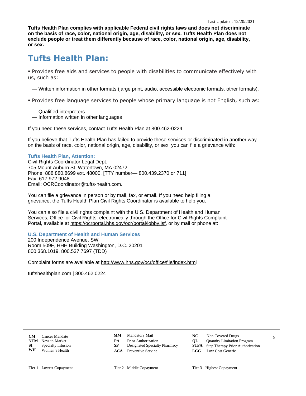**Tufts Health Plan complies with applicable Federal civil rights laws and does not discriminate on the basis of race, color, national origin, age, disability, or sex. Tufts Health Plan does not exclude people or treat them differently because of race, color, national origin, age, disability, or sex.**

# **Tufts Health Plan:**

§ Provides free aids and services to people with disabilities to communicate effectively with us, such as:

— Written information in other formats (large print, audio, accessible electronic formats, other formats).

- § Provides free language services to people whose primary language is not English, such as:
	- Qualified interpreters
	- Information written in other languages

If you need these services, contact Tufts Health Plan at 800.462-0224.

If you believe that Tufts Health Plan has failed to provide these services or discriminated in another way on the basis of race, color, national origin, age, disability, or sex, you can file a grievance with:

# **Tufts Health Plan, Attention:**

Civil Rights Coordinator Legal Dept. 705 Mount Auburn St. Watertown, MA 02472 Phone: 888.880.8699 ext. 48000, [TTY number— 800.439.2370 or 711] Fax: 617.972.9048 Email: OCRCoordinator@tufts-health.com.

You can file a grievance in person or by mail, fax, or email. If you need help filing a grievance, the Tufts Health Plan Civil Rights Coordinator is available to help you.

You can also file a civil rights complaint with the U.S. Department of Health and Human Services, Office for Civil Rights, electronically through the Office for Civil Rights Complaint Portal, available at [https://ocrportal.hhs.gov/ocr/portal/lobby.jsf,](https://ocrportal.hhs.gov/ocr/portal/lobby.jsf) or by mail or phone at:

# **U.S. Department of Health and Human Services**

200 Independence Avenue, SW Room 509F, HHH Building Washington, D.C. 20201 800.368.1019, 800.537.7697 (TDD)

Complaint forms are available at<http://www.hhs.gov/ocr/office/file/index.html>.

tuftshealthplan.com | 800.462.0224

**CM** Cancer Mandate **CMM** Mandatory Mail **NC** Non Covered Drugs 5 **CM** Cancer Mandate<br>**NTM** New-to-Market **WH** Women's Health

- 
- 
- Mandatory Mail **NC** Non Covered Drugs
- New-to-Market **PA** Prior Authorization **QL** Quantity Limitation Program<br> **PA** Prior Authorization **PA** Designated Specialty Pharmacy **STPA** Step Therapy Prior Authoriza
- **SI** Specialty Infusion **SP** Designated Specialty Pharmacy **STPA** Step Therapy Prior Authorization
	- **ACA** Preventive Service **LCG** Low Cost Generic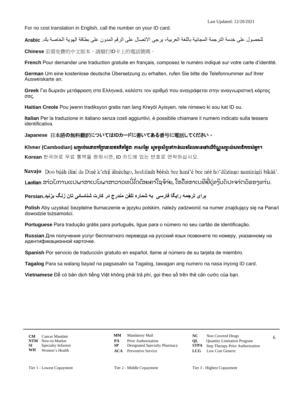For no cost translation in English, call the number on your ID card.

للحصول على خدمة الترجمة المجانية باللغة العربية، برجي الاتصال على الرقم المدون على بطاقة الهوبة الخاصة بك. Arabic

**Chinese** 若需免費的中文版本,請撥打ID卡上的電話號碼。

**French** Pour demander une traduction gratuite en français, composez le numéro indiqué sur votre carte d'identité.

**German** Um eine kostenlose deutsche Übersetzung zu erhalten, rufen Sie bitte die Telefonnummer auf Ihrer Ausweiskarte an.

**Greek** Για δωρεάν μετάφραση στα Ελληνικά, καλέστε τον αριθμό που αναγράφεται στην αναγνωριστική κάρτας σας.

**Haitian Creole** Pou jwenn tradiksyon gratis nan lang Kreyòl Ayisyen, rele nimewo ki sou kat ID ou.

**Italian** Per la traduzione in italiano senza costi aggiuntivi, è possibile chiamare il numero indicato sulla tessera identificativa.

**Japanese** 日本語の無料翻訳については**ID**カードに書いてある番号に電話してください。

Khmer (Cambodian) សម្រាប់សេវាបកប្រែដោយឥតគិតថ្លៃជា ភាសាខ្មែរ សូមទូរស័ព្ទទៅកាន់លេខដែលមាននៅលើប័ណ្ណសម្គាល់សមាជិករបស់អ្នក។

**Korean** 한국어로 무료 통역을 원하시면, ID 카드에 있는 번호로 연락하십시오.

Navajo Doo bááh ilíní da Diné k'ehjí álnéehgo, hodiilnih béésh bee hani'é bee néé ho'dílzingo nantinígíi bikáá'.

**Laotian** ສາລັບການແປພາສາເປັນພາສາລາວທບີ່ໄດ້ເສຍຄາໃຊຈ້າຍ, ໃຫໂທຫາເບທີຍີ່ເທງິບັດປະຈາຕວິຂອງທາ່ນ.

**برای ترجمه رایگا فارسی به شماره تلفن مندرج در کارت شناسائی تان زنگ بزنید.Persian** 

**Polish** Aby uzyskać bezpłatne tłumaczenie w języku polskim, należy zadzwonić na numer znajdujący się na Pana/i dowodzie tożsamości.

**Portuguese** Para tradução grátis para português, ligue para o número no seu cartão de identificação.

**Russian** Для получения услуг бесплатного перевода на русский язык позвоните по номеру, указанному на идентификационной карточке.

**Spanish** Por servicio de traducción gratuito en español, llame al número de su tarjeta de miembro.

**Tagalog** Para sa walang bayad na pagsasalin sa Tagalog, tawagan ang numero na nasa inyong ID card.

**Vietnamese** Để có bản dịch tiếng Việt không phải trả phí, gọi theo số trên thẻ căn cước của bạn.

- Mandatory Mail **NC** Non Covered Drugs
- New-to-Market **PA** Prior Authorization **QL** Quantity Limitation Program<br> **PA** Prior Authorization **PA** Designated Specialty Pharmacy **STPA** Step Therapy Prior Authoriza
	-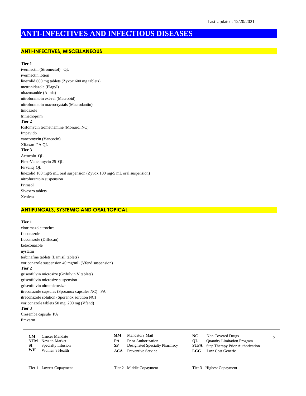# **ANTI-INFECTIVES AND INFECTIOUS DISEASES**

#### **ANTI-INFECTIVES, MISCELLANEOUS**

**Tier 1**

ivermectin (Stromectol) QL ivermectin lotion linezolid 600 mg tablets (Zyvox 600 mg tablets) metronidazole (Flagyl) nitazoxanide (Alinia) nitrofurantoin ext-rel (Macrobid) nitrofurantoin macrocrystals (Macrodantin) tinidazole trimethoprim **Tier 2** fosfomycin tromethamine (Monurol NC) Impavido vancomycin (Vancocin) Xifaxan PA QL **Tier 3** Aemcolo QL First-Vancomycin 25 QL Firvanq QL linezolid 100 mg/5 mL oral suspension (Zyvox 100 mg/5 mL oral suspension) nitrofurantoin suspension Primsol Sivextro tablets Xenleta

## **ANTIFUNGALS, SYSTEMIC AND ORAL TOPICAL**

**Tier 1**

clotrimazole troches fluconazole fluconazole (Diflucan) ketoconazole nystatin terbinafine tablets (Lamisil tablets) voriconazole suspension 40 mg/mL (Vfend suspension) **Tier 2** griseofulvin microsize (Grifulvin V tablets) griseofulvin microsize suspension griseofulvin ultramicrosize itraconazole capsules (Sporanox capsules NC) PA itraconazole solution (Sporanox solution NC) voriconazole tablets 50 mg, 200 mg (Vfend) **Tier 3** Cresemba capsule PA

Emverm

CM Cancer Mandate **CMM** Mandatory Mail **NC** Non Covered Drugs 7 **CM** Cancer Mandate<br>**NTM** New-to-Market **NTM** New-to-Market **PA** Prior Authorization **QL** Quantity Limitation Program<br> **SP** Designated Specialty Pharmacy **STPA** Step Therapy Prior Authoriza **SI** Specialty Infusion **SP** Designated Specialty Pharmacy **STPA** Step Therapy Prior Authorization **WH** Women's Health **ACA** Preventive Service **LCG** Low Cost Generic **Women's Health** 

- Mandatory Mail **NC** Non Covered Drugs **MM**
- 
- 
- **ACA** Preventive Service **LCG** Low Cost Generic
- -
	- -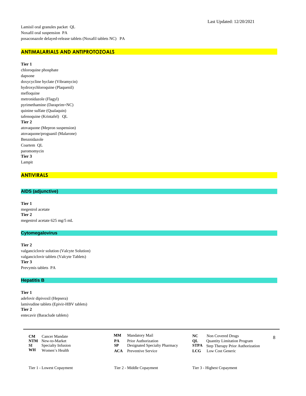# **ANTIMALARIALS AND ANTIPROTOZOALS**

**Tier 1**

chloroquine phosphate dapsone doxycycline hyclate (Vibramycin) hydroxychloroquine (Plaquenil) mefloquine metronidazole (Flagyl) pyrimethamine (Daraprim=NC) quinine sulfate (Qualaquin) tafenoquine (Krintafel) QL **Tier 2** atovaquone (Mepron suspension) atovaquone/proguanil (Malarone) Benznidazole Coartem QL paromomycin **Tier 3** Lampit

#### **ANTIVIRALS**

#### **AIDS (adjunctive)**

**Tier 1** megestrol acetate **Tier 2** megestrol acetate 625 mg/5 mL

#### **Cytomegalovirus**

**Tier 2** valganciclovir solution (Valcyte Solution) valganciclovir tablets (Valcyte Tablets) **Tier 3** Prevymis tablets PA

# **Hepatitis B**

**Tier 1** adefovir dipivoxil (Hepsera) lamivudine tablets (Epivir-HBV tablets) **Tier 2** entecavir (Baraclude tablets)

|    | <b>CM</b> Cancer Mandate     |    | <b>MM</b> Mandatory Mail      |    | Non Covered Drugs                            |  |
|----|------------------------------|----|-------------------------------|----|----------------------------------------------|--|
|    | <b>NTM</b> New-to-Market     | PА | <b>Prior Authorization</b>    | OL | <b>Ouantity Limitation Program</b>           |  |
|    | <b>SI</b> Specialty Infusion |    | Designated Specialty Pharmacy |    | <b>STPA</b> Step Therapy Prior Authorization |  |
| WH | Women's Health               |    | <b>ACA</b> Preventive Service |    | <b>LCG</b> Low Cost Generic                  |  |

- Mandatory Mail **NC** Non Covered Drugs **MM**
- **PA** Prior Authorization<br> **NTM** Designated Specialty Pharmacy<br> **STPA** Step Therapy Prior Authoriza
- 
- 
- -
	- **Step Therapy Prior Authorization**
- **ACA** Preventive Service **LCG** Low Cost Generic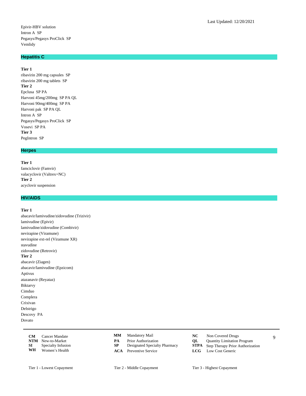# **Hepatitis C**

# **Tier 1**

ribavirin 200 mg capsules SP ribavirin 200 mg tablets SP **Tier 2** Epclusa SP PA Harvoni 45mg/200mg SP PA QL Harvoni 90mg/400mg SP PA Harvoni pak SP PA QL Intron A SP Pegasys/Pegasys ProClick SP Vosevi SP PA **Tier 3** PegIntron SP

#### **Herpes**

**Tier 1** famciclovir (Famvir) valacyclovir (Valtrex=NC) **Tier 2** acyclovir suspension

# **HIV/AIDS**

#### **Tier 1**

abacavir/lamivudine/zidovudine (Trizivir) lamivudine (Epivir) lamivudine/zidovudine (Combivir) nevirapine (Viramune) nevirapine ext-rel (Viramune XR) stavudine zidovudine (Retrovir) **Tier 2** abacavir (Ziagen) abacavir/lamivudine (Epzicom) Aptivus atazanavir (Reyataz) Biktarvy Cimduo Complera Crixivan Delstrigo Descovy PA Dovato

|    | <b>CM</b> Cancer Mandate     |    | <b>MM</b> Mandatory Mail      | NC - | Non Covered Drugs                            |  |
|----|------------------------------|----|-------------------------------|------|----------------------------------------------|--|
|    | <b>NTM</b> New-to-Market     | PА | <b>Prior Authorization</b>    | OL.  | <b>Quantity Limitation Program</b>           |  |
|    | <b>SI</b> Specialty Infusion |    | Designated Specialty Pharmacy |      | <b>STPA</b> Step Therapy Prior Authorization |  |
| WH | Women's Health               |    | <b>ACA</b> Preventive Service |      | <b>LCG</b> Low Cost Generic                  |  |

- **MM**
- 
- 
- **ACA** Preventive Service **LCG** Low Cost Generic
- Mandatory Mail **NC** Non Covered Drugs
- **PA** Prior Authorization<br> **NTM** Designated Specialty Pharmacy<br> **STPA** Step Therapy Prior Authoriza
	- **Step Therapy Prior Authorization** 
		-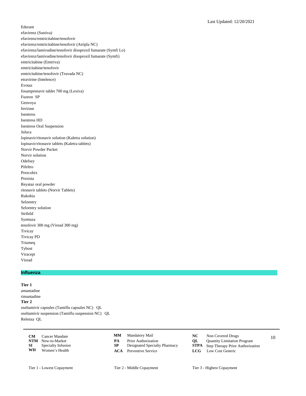Edurant efavirenz (Sustiva) efavirenz/emtricitabine/tenofovir efavirenz/emtricitabine/tenofovir (Atripla NC) efavirenz/lamivudine/tenofovir disoproxil fumarate (Symfi Lo) efavirenz/lamivudine/tenofovir disoproxil fumarate (Symfi) emtricitabine (Emtriva) emtricitabine/tenofovir emtricitabine/tenofovir (Truvada NC) etravirine (Intelence) Evotaz fosamprenavir tablet 700 mg (Lexiva) Fuzeon SP Genvoya Invirase Isentress Isentress HD Isentress Oral Suspension Juluca lopinavir/ritonavir solution (Kaletra solution) lopinavir/ritonavir tablets (Kaletra tablets) Norvir Powder Packet Norvir solution **Odefsey** Pifeltro Prezcobix Prezista Reyataz oral powder ritonavir tablets (Norvir Tablets) Rukobia Selzentry Selzentry solution Stribild Symtuza tenofovir 300 mg (Viread 300 mg) Tivicay Tivicay PD Triumeq Tybost Viracept

**Influenza**

**Tier 1**

Viread

amantadine rimantadine **Tier 2** oseltamivir capsules (Tamiflu capsules NC) QL oseltamivir suspension (Tamiflu suspension NC) QL Relenza QL

**CM** Cancer Mandate **CMM** Mandatory Mail **NC** Non Covered Drugs 10 **NTM** New-to-Market **PA** Prior Authorization **QL** Quantity Limitation Program<br> **SP** Designated Specialty Pharmacy **STPA** Step Therapy Prior Authoriza **SI** Specialty Infusion **SP** Designated Specialty Pharmacy **STPA** Step Therapy Prior Authorization **WH** Women's Health **ACA** Preventive Service **LCG** Low Cost Generic **Women's Health** 

Mandatory Mail **NC** Non Covered Drugs **MM**

- 
- 
- 
- -
	-
- **ACA** Preventive Service **LCG** Low Cost Generic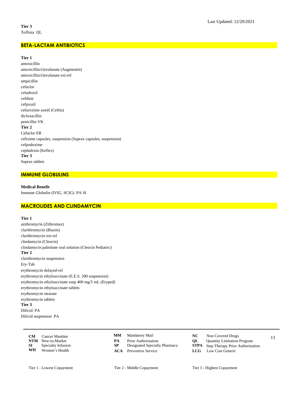# **BETA-LACTAM ANTIBIOTICS**

# **Tier 1**

amoxicillin amoxicillin/clavulanate (Augmentin) amoxicillin/clavulanate ext-rel ampicillin cefaclor cefadroxil cefdinir cefprozil cefuroxime axetil (Ceftin) dicloxacillin penicillin VK **Tier 2** Cefaclor ER cefixime capsules, suspension (Suprax capsules, suspension) cefpodoxime cephalexin (Keflex) **Tier 3** Suprax tablets

# **IMMUNE GLOBULINS**

**Medical Benefit** Immune Globulin (IVIG, SCIG) PA SI

# **MACROLIDES AND CLINDAMYCIN**

**Tier 1**

azithromycin (Zithromax) clarithromycin (Biaxin) clarithromycin ext-rel clindamycin (Cleocin) clindamycin palmitate oral solution (Cleocin Pediatric) **Tier 2** clarithromycin suspension Ery-Tab erythromycin delayed-rel erythromycin ethylsuccinate (E.E.S. 200 suspension) erythromycin ethylsuccinate susp 400 mg/5 mL (Eryped) erythromycin ethylsuccinate tablets erythromycin stearate erythromycin tablets **Tier 3** Dificid PA Dificid suspension PA

| <b>CM</b> | Cancer Mandate           | MМ | Mandatory Mail                | NC.  | Non Covered Drugs                            |  |
|-----------|--------------------------|----|-------------------------------|------|----------------------------------------------|--|
|           | <b>NTM</b> New-to-Market | PА | Prior Authorization           | OL – | <b>Quantity Limitation Program</b>           |  |
| SI –      | Specialty Infusion       |    | Designated Specialty Pharmacy |      | <b>STPA</b> Step Therapy Prior Authorization |  |
| WH        | Women's Health           |    | <b>ACA</b> Preventive Service |      | <b>LCG</b> Low Cost Generic                  |  |

- **PA** Prior Authorization<br> **NTM** Designated Specialty Pharmacy<br> **STPA** Step Therapy Prior Authoriza
- 
- **ACA** Preventive Service **LCG** Low Cost Generic
- Mandatory Mail **NC** Non Covered Drugs
	-
	- **Step Therapy Prior Authorization** 
		-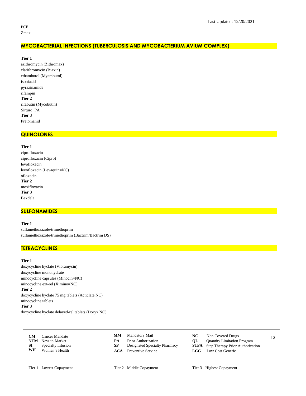PCE Zmax

# **MYCOBACTERIAL INFECTIONS (TUBERCULOSIS AND MYCOBACTERIUM AVIUM COMPLEX)**

**Tier 1**

azithromycin (Zithromax) clarithromycin (Biaxin) ethambutol (Myambutol) isoniazid pyrazinamide rifampin **Tier 2** rifabutin (Mycobutin) Sirturo PA **Tier 3** Pretomanid

#### **QUINOLONES**

**Tier 1** ciprofloxacin ciprofloxacin (Cipro) levofloxacin levofloxacin (Levaquin=NC) ofloxacin **Tier 2** moxifloxacin **Tier 3** Baxdela

#### **SULFONAMIDES**

#### **Tier 1**

sulfamethoxazole/trimethoprim sulfamethoxazole/trimethoprim (Bactrim/Bactrim DS)

# **TETRACYCLINES**

#### **Tier 1**

doxycycline hyclate (Vibramycin) doxycycline monohydrate minocycline capsules (Minocin=NC) minocycline ext-rel (Ximino=NC) **Tier 2** doxycycline hyclate 75 mg tablets (Acticlate NC) minocycline tablets **Tier 3**

doxycycline hyclate delayed-rel tablets (Doryx NC)

| CM | Cancer Mandate               |    | <b>MM</b> Mandatory Mail      | NC - | Non Covered Drugs                            |  |
|----|------------------------------|----|-------------------------------|------|----------------------------------------------|--|
|    | <b>NTM</b> New-to-Market     | PA | <b>Prior Authorization</b>    | OL – | <b>Quantity Limitation Program</b>           |  |
|    | <b>SI</b> Specialty Infusion |    | Designated Specialty Pharmacy |      | <b>STPA</b> Step Therapy Prior Authorization |  |
| WH | Women's Health               |    | <b>ACA</b> Preventive Service |      | <b>LCG</b> Low Cost Generic                  |  |

- **PA** Prior Authorization<br> **NTM** Designated Specialty Pharmacy<br> **STPA** Step Therapy Prior Authoriza
- 
- Mandatory Mail **NC** Non Covered Drugs
	-
	- **Step Therapy Prior Authorization**
- **ACA** Preventive Service **LCG** Low Cost Generic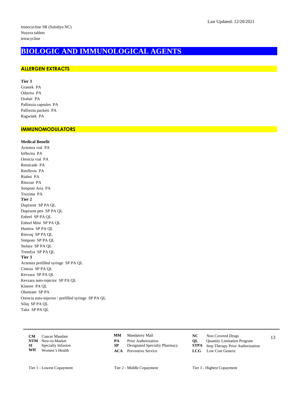# **BIOLOGIC AND IMMUNOLOGICAL AGENTS**

# **ALLERGEN EXTRACTS**

**Tier 3** Grastek PA Odactra PA Oralair PA Palforzia capsules PA Palforzia packets PA Ragwitek PA

# **IMMUNOMODULATORS**

**Medical Benefit** Actemra vial PA Inflectra PA Orencia vial PA Remicade PA Renflexis PA Riabni PA Rituxan PA Simponi Aria PA Truxima PA **Tier 2** Dupixent SP PA QL Dupixent pen SP PA QL Enbrel SP PA QL Enbrel Mini SP PA QL Humira SP PA QL Rinvoq SP PA QL Simponi SP PA QL Stelara SP PA QL Tremfya SP PA QL **Tier 3** Actemra prefilled syringe SP PA QL Cimzia SP PA QL Kevzara SP PA QL Kevzara auto-injector SP PA QL Kineret PA QL Olumiant SP PA Orencia auto-injector / prefilled syringe SP PA QL Siliq SP PA QL Taltz SP PA QL

- **CM** Cancer Mandate **CMM** Mandatory Mail **NC** Non Covered Drugs 13 **NTM** New-to-Market **PA** Prior Authorization **QL** Quantity Limitation Program<br> **SP** Designated Specialty Pharmacy **STPA** Step Therapy Prior Authoriza **SI** Specialty Infusion **SP** Designated Specialty Pharmacy **STPA** Step Therapy Prior Authorization **WH** Women's Health **ACA** Preventive Service **LCG** Low Cost Generic **Women's Health**
- **MM**
	-
	-
	- **ACA** Preventive Service **LCG** Low Cost Generic
- Mandatory Mail **NC** Non Covered Drugs
	-
	-
- Tier 1 Lowest Copayment Tier 2 Middle Copayment Tier 3 Highest Copayment
	-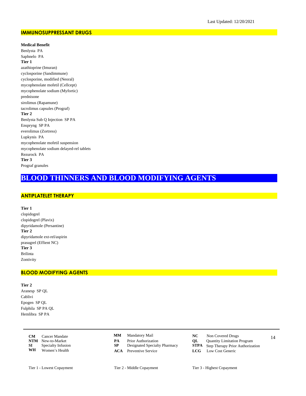#### **IMMUNOSUPPRESSANT DRUGS**

**Medical Benefit**

Benlysta PA Saphnelo PA **Tier 1** azathioprine (Imuran) cyclosporine (Sandimmune) cyclosporine, modified (Neoral) mycophenolate mofetil (Cellcept) mycophenolate sodium (Myfortic) prednisone sirolimus (Rapamune) tacrolimus capsules (Prograf) **Tier 2** Benlysta Sub Q Injection SP PA Enspryng SP PA everolimus (Zortress) Lupkynis PA mycophenolate mofetil suspension mycophenolate sodium delayed-rel tablets Rezurock PA **Tier 3** Prograf granules

# **BLOOD THINNERS AND BLOOD MODIFYING AGENTS**

# **ANTIPLATELET THERAPY**

**Tier 1**

clopidogrel clopidogrel (Plavix) dipyridamole (Persantine) **Tier 2** dipyridamole ext-rel/aspirin prasugrel (Effient NC) **Tier 3** Brilinta Zontivity

# **BLOOD MODIFYING AGENTS**

**Tier 2**

Aranesp SP QL Cablivi Epogen SP QL Fulphila SP PA QL Hemlibra SP PA

|      | <b>CM</b> Cancer Mandate  |    | <b>MM</b> Mandatory Mail      |    | Non Covered Drugs                            | 14 |
|------|---------------------------|----|-------------------------------|----|----------------------------------------------|----|
|      | <b>NTM</b> New-to-Market  | PА | <b>Prior Authorization</b>    | OL | <b>Quantity Limitation Program</b>           |    |
| SI – | <b>Specialty Infusion</b> |    | Designated Specialty Pharmacy |    | <b>STPA</b> Step Therapy Prior Authorization |    |
| WH   | Women's Health            |    | <b>ACA</b> Preventive Service |    | <b>LCG</b> Low Cost Generic                  |    |

- Mandatory Mail **NC** Non Covered Drugs **MM**
- **PA** Prior Authorization<br> **NTM** Designated Specialty Pharmacy<br> **STPA** Step Therapy Prior Authoriza
- 
- **ACA** Preventive Service **LCG** Low Cost Generic
- -
	- **Step Therapy Prior Authorization** 
		-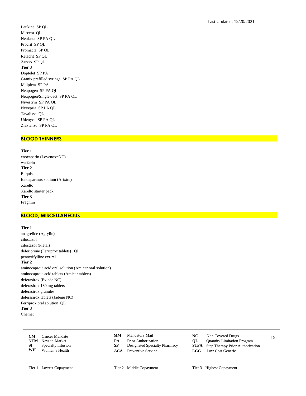Leukine SP QL Mircera QL Neulasta SP PA QL Procrit SP QL Promacta SP QL Retacrit SP QL Zarxio SP QL **Tier 3** Doptelet SP PA Granix prefilled syringe SP PA QL Mulpleta SP PA Neupogen SP PA QL Neupogen/Single-Ject SP PA QL Nivestym SP PA QL Nyvepria SP PA QL Tavalisse QL Udenyca SP PA QL Ziextenzo SP PA QL

#### **BLOOD THINNERS**

**Tier 1** enoxaparin (Lovenox=NC) warfarin **Tier 2** Eliquis fondaparinux sodium (Arixtra) Xarelto Xarelto starter pack **Tier 3** Fragmin

#### **BLOOD, MISCELLANEOUS**

#### **Tier 1**

anagrelide (Agrylin) cilostazol cilostazol (Pletal) deferiprone (Ferriprox tablets) QL pentoxifylline ext-rel **Tier 2** aminocaproic acid oral solution (Amicar oral solution) aminocaproic acid tablets (Amicar tablets) deferasirox (Exjade NC) deferasirox 180 mg tablets deferasirox granules deferasirox tablets (Jadenu NC) Ferriprox oral solution QL **Tier 3** Chemet

| CM | Cancer Mandate               |    | <b>MM</b> Mandatory Mail      | NC - | Non Covered Drugs                            |  |
|----|------------------------------|----|-------------------------------|------|----------------------------------------------|--|
|    | <b>NTM</b> New-to-Market     | PА | <b>Prior Authorization</b>    | OL – | <b>Quantity Limitation Program</b>           |  |
|    | <b>SI</b> Specialty Infusion |    | Designated Specialty Pharmacy |      | <b>STPA</b> Step Therapy Prior Authorization |  |
| WH | Women's Health               |    | <b>ACA</b> Preventive Service |      | <b>LCG</b> Low Cost Generic                  |  |

- Mandatory Mail **NC** Non Covered Drugs **MM**
- **PA** Prior Authorization<br> **NTM** Step Therapy Prior Authorization Program<br> **STPA** Step Therapy Prior Authoriza
- 
- 
- -
	- **Step Therapy Prior Authorization**
- **ACA** Preventive Service **LCG** Low Cost Generic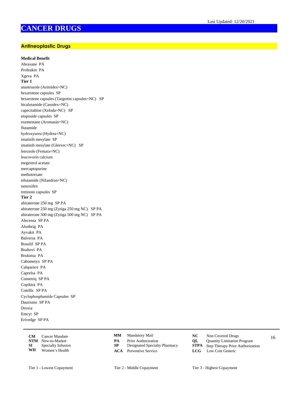# **CANCER DRUGS**

# **Antineoplastic Drugs**

# **Medical Benefit**

Abraxane PA Proleukin PA Xgeva PA **Tier 1** anastrozole (Arimidex=NC) bexarotene capsules SP bexarotene capsules (Targretin capsules=NC) SP bicalutamide (Casodex=NC) capecitabine (Xeloda=NC) SP etoposide capsules SP exemestane (Aromasin=NC) flutamide hydroxyurea (Hydrea=NC) imatinib mesylate SP imatinib mesylate (Gleevec=NC) SP letrozole (Femara=NC) leucovorin calcium megestrol acetate mercaptopurine methotrexate nilutamide (Nilandron=NC) tamoxifen tretinoin capsules SP **Tier 2** abiraterone 250 mg SP PA abiraterone 250 mg (Zytiga 250 mg NC) SP PA abiraterone 500 mg (Zytiga 500 mg NC) SP PA Alecensa SP PA Alunbrig PA Ayvakit PA Balversa PA Bosulif SP PA Braftovi PA Brukinsa PA Cabometyx SP PA Calquence PA Caprelsa PA Cometriq SP PA Copiktra PA Cotellic SP PA Cyclophosphamide Capsules SP Daurismo SP PA Droxia Emcyt SP Erivedge SP PA

|    | <b>CM</b> Cancer Mandate     |    | <b>MM</b> Mandatory Mail      |    | Non Covered Drugs                            |  |
|----|------------------------------|----|-------------------------------|----|----------------------------------------------|--|
|    | <b>NTM</b> New-to-Market     | PА | <b>Prior Authorization</b>    | OL | <b>Quantity Limitation Program</b>           |  |
|    | <b>SI</b> Specialty Infusion |    | Designated Specialty Pharmacy |    | <b>STPA</b> Step Therapy Prior Authorization |  |
| WH | Women's Health               |    | <b>ACA</b> Preventive Service |    | <b>LCG</b> Low Cost Generic                  |  |

- **MM**
- 
- 
- **ACA** Preventive Service **LCG** Low Cost Generic
- Mandatory Mail **NC** Non Covered Drugs
	-
- **PA** Prior Authorization<br> **NTM** Designated Specialty Pharmacy<br> **STPA** Step Therapy Prior Authoriza **Step Therapy Prior Authorization** 
	-
- Tier 1 Lowest Copayment Tier 2 Middle Copayment Tier 3 Highest Copayment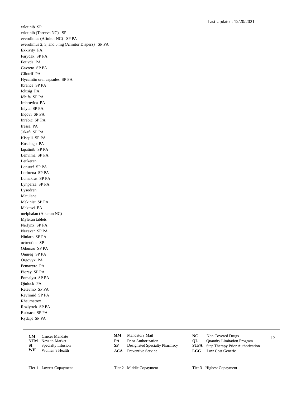erlotinib SP erlotinib (Tarceva NC) SP everolimus (Afinitor NC) SP PA everolimus 2, 3, and 5 mg (Afinitor Disperz) SP PA Exkivity PA Farydak SP PA Fotivda PA Gavreto SP PA Gilotrif PA Hycamtin oral capsules SP PA Ibrance SP PA Iclusig PA Idhifa SP PA Imbruvica PA Inlyta SP PA Inqovi SP PA Inrebic SP PA Iressa PA Jakafi SP PA Kisqali SP PA Koselugo PA lapatinib SP PA Lenvima SP PA Leukeran Lonsurf SP PA Lorbrena SP PA Lumakras SP PA Lynparza SP PA Lysodren Matulane Mekinist SP PA Mektovi PA melphalan (Alkeran NC) Myleran tablets Nerlynx SP PA Nexavar SP PA Ninlaro SP PA octreotide SP Odomzo SP PA Onureg SP PA Orgovyx PA Pemazyre PA Piqray SP PA Pomalyst SP PA Qinlock PA Retevmo SP PA Revlimid SP PA Rheumatrex Rozlytrek SP PA Rubraca SP PA Rydapt SP PA

**CM** Cancer Mandate **CMM** Mandatory Mail **NC** Non Covered Drugs 17 **NTM** New-to-Market **PA** Prior Authorization **QL** Quantity Limitation Program<br> **SP** Designated Specialty Pharmacy **STPA** Step Therapy Prior Authoriza **SI** Specialty Infusion **SP** Designated Specialty Pharmacy **STPA** Step Therapy Prior Authorization **WH** Women's Health **ACA** Preventive Service **LCG** Low Cost Generic **Women's Health** 

- **MM**
	-
- 
- **ACA** Preventive Service **LCG** Low Cost Generic
- Mandatory Mail **NC** Non Covered Drugs
	-
	- -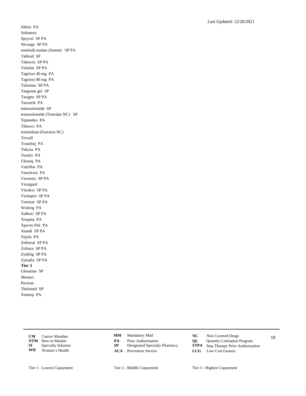Siklos PA Soltamox Sprycel SP PA Stivarga SP PA sunitinib malate (Sutent) SP PA Tabloid SP Tabrecta SP PA Tafinlar SP PA Tagrisso 40 mg PA Tagrisso 80 mg PA Talzenna SP PA Targretin gel SP Tasigna SP PA Tazverik PA temozolomide SP temozolomide (Temodar NC) SP Tepmetko PA Tibsovo PA toremifene (Fareston NC) Trexall Truseltiq PA Tukysa PA Turalio PA Ukoniq PA Valchlor PA Venclexta PA Verzenio SP PA Vistogard Vitrakvi SP PA Vizimpro SP PA Votrient SP PA Welireg PA Xalkori SP PA Xospata PA Xpovio Pak PA Xtandi SP PA Zejula PA Zelboraf SP PA Zolinza SP PA Zydelig SP PA Zykadia SP PA **Tier 3** Gleostine SP Mesnex Purixan Thalomid SP Xatmep PA

|      | <b>CM</b> Cancer Mandate | <b>MM</b> Mandatory Mail      |    | Non Covered Drugs                            |  |
|------|--------------------------|-------------------------------|----|----------------------------------------------|--|
|      | <b>NTM</b> New-to-Market | <b>Prior Authorization</b>    | OL | <b>Quantity Limitation Program</b>           |  |
| SI – | Specialty Infusion       | Designated Specialty Pharmacy |    | <b>STPA</b> Step Therapy Prior Authorization |  |
| WH   | Women's Health           | <b>ACA</b> Preventive Service |    | LCG Low Cost Generic                         |  |

- 
- **PA** Prior Authorization<br> **NTM** Designated Specialty Pharmacy<br> **STPA** Step Therapy Prior Authoriza
- **ACA** Preventive Service **LCG** Low Cost Generic
- Mandatory Mail **NC** Non Covered Drugs
	-
	- **Step Therapy Prior Authorization**
	-
- Tier 1 Lowest Copayment Tier 2 Middle Copayment Tier 3 Highest Copayment
	-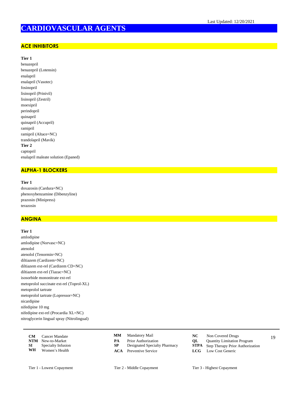# **CARDIOVASCULAR AGENTS**

# **ACE INHIBITORS**

# **Tier 1**

benazepril benazepril (Lotensin) enalapril enalapril (Vasotec) fosinopril lisinopril (Prinivil) lisinopril (Zestril) moexipril perindopril quinapril quinapril (Accupril) ramipril ramipril (Altace=NC) trandolapril (Mavik) **Tier 2** captopril enalapril maleate solution (Epaned)

# **ALPHA-1 BLOCKERS**

**Tier 1**

doxazosin (Cardura=NC) phenoxybenzamine (Dibenzyline) prazosin (Minipress) terazosin

# **ANGINA**

#### **Tier 1**

amlodipine amlodipine (Norvasc=NC) atenolol atenolol (Tenormin=NC) diltiazem (Cardizem=NC) diltiazem ext-rel (Cardizem CD=NC) diltiazem ext-rel (Tiazac=NC) isosorbide mononitrate ext-rel metoprolol succinate ext-rel (Toprol-XL) metoprolol tartrate metoprolol tartrate (Lopressor=NC) nicardipine nifedipine 10 mg nifedipine ext-rel (Procardia XL=NC) nitroglycerin lingual spray (Nitrolingual)

| <b>CM</b> | Cancer Mandate           | MМ | Mandatory Mail                |    | Non Covered Drugs                            |  |
|-----------|--------------------------|----|-------------------------------|----|----------------------------------------------|--|
|           | <b>NTM</b> New-to-Market | PА | <b>Prior Authorization</b>    | OL | <b>Quantity Limitation Program</b>           |  |
| SI –      | Specialty Infusion       |    | Designated Specialty Pharmacy |    | <b>STPA</b> Step Therapy Prior Authorization |  |
| WH        | Women's Health           |    | <b>ACA</b> Preventive Service |    | <b>LCG</b> Low Cost Generic                  |  |

- **MM**
- **PA** Prior Authorization<br> **NTM** Step Therapy Prior Authorization Program<br> **STPA** Step Therapy Prior Authoriza
- 
- **ACA** Preventive Service **LCG** Low Cost Generic
- Mandatory Mail **NC** Non Covered Drugs
	-
	- **Step Therapy Prior Authorization** 
		-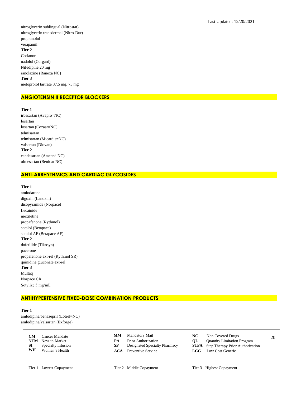nitroglycerin sublingual (Nitrostat) nitroglycerin transdermal (Nitro-Dur) propranolol verapamil **Tier 2** Corlanor nadolol (Corgard) Nifedipine 20 mg ranolazine (Ranexa NC) **Tier 3** metoprolol tartrate 37.5 mg, 75 mg

# **ANGIOTENSIN II RECEPTOR BLOCKERS**

**Tier 1** irbesartan (Avapro=NC) losartan losartan (Cozaar=NC) telmisartan telmisartan (Micardis=NC) valsartan (Diovan) **Tier 2** candesartan (Atacand NC) olmesartan (Benicar NC)

#### **ANTI-ARRHYTHMICS AND CARDIAC GLYCOSIDES**

**Tier 1** amiodarone digoxin (Lanoxin) disopyramide (Norpace) flecainide mexiletine propafenone (Rythmol) sotalol (Betapace) sotalol AF (Betapace AF) **Tier 2** dofetilide (Tikosyn) pacerone propafenone ext-rel (Rythmol SR) quinidine gluconate ext-rel **Tier 3** Multaq Norpace CR Sotylize 5 mg/mL

# **ANTIHYPERTENSIVE FIXED-DOSE COMBINATION PRODUCTS**

**Tier 1** amlodipine/benazepril (Lotrel=NC) amlodipine/valsartan (Exforge)

> **CM** Cancer Mandate **CMM** Mandatory Mail **CC** Non Covered Drugs 20 **NTM** New-to-Market **PA** Prior Authorization **QL** Quantity Limitation Program<br> **SP** Designated Specialty Pharmacy **STPA** Step Therapy Prior Authoriza **SI** Specialty Infusion **SP** Designated Specialty Pharmacy **STPA** Step Therapy Prior Authorization **WH** Women's Health **ACA** Preventive Service **LCG** Low Cost Generic Women's Health

**MM**

- Mandatory Mail **NC** Non Covered Drugs
	-

**ACA** Preventive Service **LCG** Low Cost Generic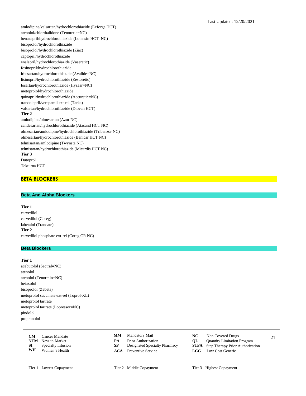amlodipine/valsartan/hydrochlorothiazide (Exforge HCT) atenolol/chlorthalidone (Tenoretic=NC) benazepril/hydrochlorothiazide (Lotensin HCT=NC) bisoprolol/hydrochlorothiazide bisoprolol/hydrochlorothiazide (Ziac) captopril/hydrochlorothiazide enalapril/hydrochlorothiazide (Vaseretic) fosinopril/hydrochlorothiazide irbesartan/hydrochlorothiazide (Avalide=NC) lisinopril/hydrochlorothiazide (Zestoretic) losartan/hydrochlorothiazide (Hyzaar=NC) metoprolol/hydrochlorothiazide quinapril/hydrochlorothiazide (Accuretic=NC) trandolapril/verapamil ext-rel (Tarka) valsartan/hydrochlorothiazide (Diovan HCT) **Tier 2** amlodipine/olmesartan (Azor NC) candesartan/hydrochlorothiazide (Atacand HCT NC) olmesartan/amlodipine/hydrochlorothiazide (Tribenzor NC) olmesartan/hydrochlorothiazide (Benicar HCT NC) telmisartan/amlodipine (Twynsta NC) telmisartan/hydrochlorothiazide (Micardis HCT NC) **Tier 3** Dutoprol

Tekturna HCT

# **BETA BLOCKERS**

## **Beta And Alpha Blockers**

**Tier 1** carvedilol carvedilol (Coreg) labetalol (Trandate) **Tier 2** carvedilol phosphate ext-rel (Coreg CR NC)

# **Beta Blockers**

**Tier 1**

acebutolol (Sectral=NC) atenolol atenolol (Tenormin=NC) betaxolol bisoprolol (Zebeta) metoprolol succinate ext-rel (Toprol-XL) metoprolol tartrate metoprolol tartrate (Lopressor=NC) pindolol propranolol

|    | <b>CM</b> Cancer Mandate |    | <b>MM</b> Mandatory Mail      | NC. | Non Covered Drugs                            | 21 |
|----|--------------------------|----|-------------------------------|-----|----------------------------------------------|----|
|    | <b>NTM</b> New-to-Market | PА | <b>Prior Authorization</b>    | OL  | <b>Quantity Limitation Program</b>           |    |
| SI | Specialty Infusion       |    | Designated Specialty Pharmacy |     | <b>STPA</b> Step Therapy Prior Authorization |    |
| WH | Women's Health           |    | <b>ACA</b> Preventive Service |     | <b>LCG</b> Low Cost Generic                  |    |

- **MM**
- **PA** Prior Authorization<br> **NTM** Step Therapy Prior Authorization Program<br> **STPA** Step Therapy Prior Authoriza
- 
- 
- Mandatory Mail **NC** Non Covered Drugs
	-
	- **Step Therapy Prior Authorization**
- **ACA** Preventive Service **LCG** Low Cost Generic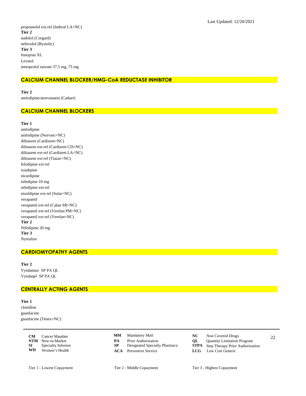propranolol ext-rel (Inderal LA=NC) **Tier 2** nadolol (Corgard) nebivolol (Bystolic) **Tier 3** Innopran XL Levatol metoprolol tartrate 37.5 mg, 75 mg

# **CALCIUM CHANNEL BLOCKER/HMG-CoA REDUCTASE INHIBITOR**

**Tier 2**

amlodipine/atorvastatin (Caduet)

#### **CALCIUM CHANNEL BLOCKERS**

#### **Tier 1**

amlodipine amlodipine (Norvasc=NC) diltiazem (Cardizem=NC) diltiazem ext-rel (Cardizem CD=NC) diltiazem ext-rel (Cardizem LA=NC) diltiazem ext-rel (Tiazac=NC) felodipine ext-rel isradipine nicardipine nifedipine 10 mg nifedipine ext-rel nisoldipine ext-rel (Sular=NC) verapamil verapamil ext-rel (Calan SR=NC) verapamil ext-rel (Verelan PM=NC) verapamil ext-rel (Verelan=NC) **Tier 2** Nifedipine 20 mg **Tier 3** Nymalize

#### **CARDIOMYOPATHY AGENTS**

**Tier 2** Vyndamax SP PA QL Vyndaqel SP PA QL

#### **CENTRALLY ACTING AGENTS**

#### **Tier 1**

clonidine guanfacine guanfacine (Tenex=NC)

|      | <b>CM</b> Cancer Mandate  |    | <b>MM</b> Mandatory Mail      | NC. | Non Covered Drugs                            | 22 |
|------|---------------------------|----|-------------------------------|-----|----------------------------------------------|----|
|      | <b>NTM</b> New-to-Market  | PА | <b>Prior Authorization</b>    | OL  | <b>Quantity Limitation Program</b>           |    |
| SI – | <b>Specialty Infusion</b> |    | Designated Specialty Pharmacy |     | <b>STPA</b> Step Therapy Prior Authorization |    |
| WH   | Women's Health            |    | <b>ACA</b> Preventive Service |     | <b>LCG</b> Low Cost Generic                  |    |

- Mandatory Mail **NC** Non Covered Drugs **MM**
- **PA** Prior Authorization<br> **NTM** Designated Specialty Pharmacy<br> **STPA** Step Therapy Prior Authoriza
- 
- **ACA** Preventive Service **LCG** Low Cost Generic
- -
	- **Step Therapy Prior Authorization**
	-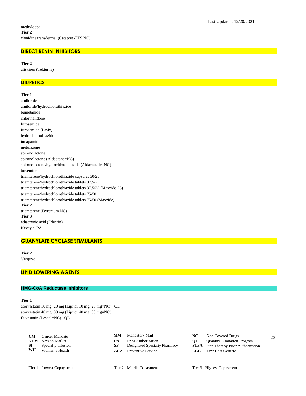# **DIRECT RENIN INHIBITORS**

**Tier 2** aliskiren (Tekturna)

# **DIURETICS**

**Tier 1** amiloride amiloride/hydrochlorothiazide bumetanide chlorthalidone furosemide furosemide (Lasix) hydrochlorothiazide indapamide metolazone spironolactone spironolactone (Aldactone=NC) spironolactone/hydrochlorothiazide (Aldactazide=NC) torsemide triamterene/hydrochlorothiazide capsules 50/25 triamterene/hydrochlorothiazide tablets 37.5/25 triamterene/hydrochlorothiazide tablets 37.5/25 (Maxzide-25) triamterene/hydrochlorothiazide tablets 75/50 triamterene/hydrochlorothiazide tablets 75/50 (Maxzide) **Tier 2** triamterene (Dyrenium NC) **Tier 3** ethacrynic acid (Edecrin) Keveyis PA

#### **GUANYLATE CYCLASE STIMULANTS**

**Tier 2** Verquvo

# **LIPID LOWERING AGENTS**

#### **HMG-CoA Reductase Inhibitors**

#### **Tier 1**

atorvastatin 10 mg, 20 mg (Lipitor 10 mg, 20 mg=NC) QL atorvastatin 40 mg, 80 mg (Lipitor 40 mg, 80 mg=NC) fluvastatin (Lescol=NC) QL

|      | <b>CM</b> Cancer Mandate |    | <b>MM</b> Mandatory Mail      |    | Non Covered Drugs                            | 23 |
|------|--------------------------|----|-------------------------------|----|----------------------------------------------|----|
|      | <b>NTM</b> New-to-Market | PА | <b>Prior Authorization</b>    | OL | <b>Quantity Limitation Program</b>           |    |
| SI – | Specialty Infusion       |    | Designated Specialty Pharmacy |    | <b>STPA</b> Step Therapy Prior Authorization |    |
| WH   | Women's Health           |    | <b>ACA</b> Preventive Service |    | <b>LCG</b> Low Cost Generic                  |    |

- Mandatory Mail **NC** Non Covered Drugs **MM**
- **PA** Prior Authorization<br> **NTM** Step Therapy Prior Authorization Program<br> **STPA** Step Therapy Prior Authoriza
- 
- 
- -
	- **Step Therapy Prior Authorization**
- **ACA** Preventive Service **LCG** Low Cost Generic

Tier 1 - Lowest Copayment Tier 2 - Middle Copayment Tier 3 - Highest Copayment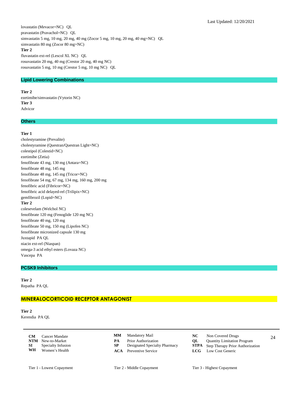lovastatin (Mevacor=NC) QL pravastatin (Pravachol=NC) QL simvastatin 5 mg, 10 mg, 20 mg, 40 mg (Zocor 5 mg, 10 mg, 20 mg, 40 mg=NC) QL simvastatin 80 mg (Zocor 80 mg=NC) **Tier 2** fluvastatin ext-rel (Lescol XL NC) QL rosuvastatin 20 mg, 40 mg (Crestor 20 mg, 40 mg NC) rosuvastatin 5 mg, 10 mg (Crestor 5 mg, 10 mg NC) QL

# **Lipid Lowering Combinations**

# **Tier 2**

ezetimibe/simvastatin (Vytorin NC) **Tier 3** Advicor

#### **Others**

#### **Tier 1**

cholestyramine (Prevalite) cholestyramine (Questran/Questran Light=NC) colestipol (Colestid=NC) ezetimibe (Zetia) fenofibrate 43 mg, 130 mg (Antara=NC) fenofibrate 48 mg, 145 mg fenofibrate 48 mg, 145 mg (Tricor=NC) fenofibrate 54 mg, 67 mg, 134 mg, 160 mg, 200 mg fenofibric acid (Fibricor=NC) fenofibric acid delayed-rel (Trilipix=NC) gemfibrozil (Lopid=NC) **Tier 2** colesevelam (Welchol NC) fenofibrate 120 mg (Fenoglide 120 mg NC) fenofibrate 40 mg, 120 mg fenofibrate 50 mg, 150 mg (Lipofen NC) fenofibrate micronized capsule 130 mg Juxtapid PA QL niacin ext-rel (Niaspan) omega-3 acid ethyl esters (Lovaza NC) Vascepa PA

#### **PCSK9 Inhibitors**

**Tier 2** Repatha PA QL

#### **MINERALOCORTICOID RECEPTOR ANTAGONIST**

**Tier 2** Kerendia PA QL

> **CM** Cancer Mandate **CMM** Mandatory Mail **CMC** Non Covered Drugs 24 **NTM** New-to-Market **PA** Prior Authorization **QL** Quantity Limitation Program<br> **SP** Designated Specialty Pharmacy **STPA** Step Therapy Prior Authoriza **SI** Specialty Infusion **SP** Designated Specialty Pharmacy **STPA** Step Therapy Prior Authorization **WH** Women's Health **ACA** Preventive Service **LCG** Low Cost Generic **Women's Health**

Mandatory Mail **NC** Non Covered Drugs **MM**

- 
- 
- 
- 
- **ACA** Preventive Service **LCG** Low Cost Generic
- 
- Tier 1 Lowest Copayment Tier 2 Middle Copayment Tier 3 Highest Copayment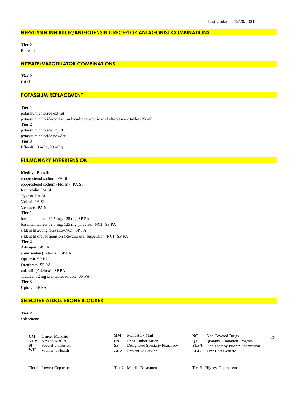#### **NEPRILYSIN INHIBITOR/ANGIOTENSIN II RECEPTOR ANTAGONIST COMBINATIONS**

**Tier 2**

# Entresto

#### **NITRATE/VASODILATOR COMBINATIONS**

**Tier 2** BiDil

## **POTASSIUM REPLACEMENT**

**Tier 1**

potassium chloride ext-rel potassium chloride/potassium bicarbonate/citric acid effervescent tablets 25 mE **Tier 2** potassium chloride liquid potassium chloride powder **Tier 3** Effer-K 10 mEq, 20 mEq

#### **PULMONARY HYPERTENSION**

#### **Medical Benefit**

epoprostenol sodium PA SI epoprostenol sodium (Flolan) PA SI Remodulin PA SI Tyvaso PA SI Veletri PA SI Ventavis PA SI **Tier 1** bosentan tablets 62.5 mg, 125 mg SP PA bosentan tablets 62.5 mg, 125 mg (Tracleer=NC) SP PA sildenafil 20 mg (Revatio=NC) SP PA sildenafil oral suspension (Revatio oral suspension=NC) SP PA **Tier 2** Adempas SP PA ambrisentan (Letairis) SP PA Opsumit SP PA Orenitram SP PA tadalafil (Adcirca) SP PA Tracleer 32 mg oral tablet soluble SP PA **Tier 3** Uptravi SP PA

# **SELECTIVE ALDOSTERONE BLOCKER**

**Tier 2** eplerenone

> **CM** Cancer Mandate **CMM** Mandatory Mail **CC** Non Covered Drugs 25 **NTM** New-to-Market **PA** Prior Authorization **QL** Quantity Limitation Program<br> **SP** Designated Specialty Pharmacy **STPA** Step Therapy Prior Authoriza **SI** Specialty Infusion **SP** Designated Specialty Pharmacy **STPA** Step Therapy Prior Authorization **WH** Women's Health **ACA** Preventive Service **LCG** Low Cost Generic **Women's Health**

**MM**

**ACA** Preventive Service **LCG** Low Cost Generic

- Mandatory Mail **NC** Non Covered Drugs
	-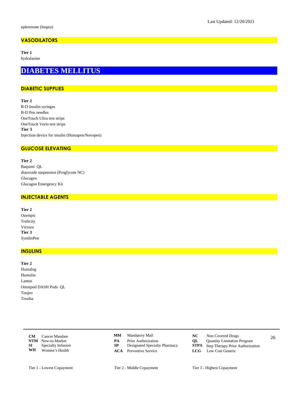# **VASODILATORS**

**Tier 1**

hydralazine

# **DIABETES MELLITUS**

# **DIABETIC SUPPLIES**

**Tier 2** B-D Insulin syringes B-D Pen needles OneTouch Ultra test strips OneTouch Verio test strips **Tier 3** Injection device for insulin (Humapen/Novopen)

# **GLUCOSE ELEVATING**

**Tier 2**

Baqsimi QL diazoxide suspension (Proglycem NC) Glucagen Glucagon Emergency Kit

#### **INJECTABLE AGENTS**

| Tier 2    |
|-----------|
| Ozempic   |
| Trulicity |
| Victoza   |
| Tier 3    |
| SymlinPen |

#### **INSULINS**

**Tier 2** Humalog Humulin Lantus Omnipod DASH Pods QL Toujeo Tresiba

> **CM** Cancer Mandate **CMM** Mandatory Mail **CC** Non Covered Drugs 26 **NTM** New-to-Market **PA** Prior Authorization **QL** Quantity Limitation Program<br> **SP** Designated Specialty Pharmacy **STPA** Step Therapy Prior Authoriza **SI** Specialty Infusion **SP** Designated Specialty Pharmacy **STPA** Step Therapy Prior Authorization **WH** Women's Health **ACA** Preventive Service **LCG** Low Cost Generic Women's Health

- Mandatory Mail **NC** Non Covered Drugs **MM**
- 
- 
- **ACA** Preventive Service **LCG** Low Cost Generic
- -
	-
	-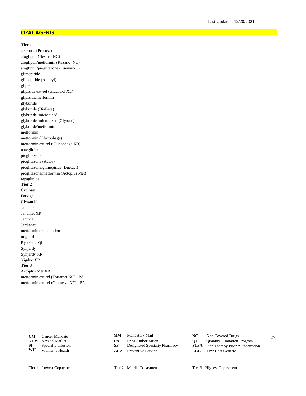#### **ORAL AGENTS**

#### **Tier 1**

acarbose (Precose) alogliptin (Nesina=NC) alogliptin/metformin (Kazano=NC) alogliptin/pioglitazone (Oseni=NC) glimepiride glimepiride (Amaryl) glipizide glipizide ext-rel (Glucotrol XL) glipizide/metformin glyburide glyburide (DiaBeta) glyburide, micronized glyburide, micronized (Glynase) glyburide/metformin metformin metformin (Glucophage) metformin ext-rel (Glucophage XR) nateglinide pioglitazone pioglitazone (Actos) pioglitazone/glimepiride (Duetact) pioglitazone/metformin (Actoplus Met) repaglinide **Tier 2** Cycloset Farxiga Glyxambi Janumet Janumet XR Januvia Jardiance metformin oral solution miglitol Rybelsus QL Synjardy Synjardy XR Xigduo XR **Tier 3** Actoplus Met XR metformin ext-rel (Fortamet NC) PA metformin ext-rel (Glumetza NC) PA

> **CM** Cancer Mandate **CMM** Mandatory Mail **CMC** Non Covered Drugs 27 **NTM** New-to-Market **PA** Prior Authorization **QL** Quantity Limitation Program<br> **SP** Designated Specialty Pharmacy **STPA** Step Therapy Prior Authoriza **SI** Specialty Infusion **SP** Designated Specialty Pharmacy **STPA** Step Therapy Prior Authorization **WH** Women's Health **ACA** Preventive Service **LCG** Low Cost Generic **Women's Health**

- Mandatory Mail **NC** Non Covered Drugs **MM**
- 
- 
- **ACA** Preventive Service **LCG** Low Cost Generic
- -
	- -
- Tier 1 Lowest Copayment Tier 2 Middle Copayment Tier 3 Highest Copayment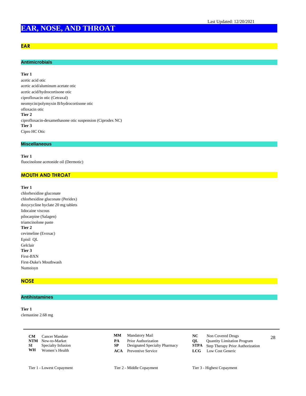# **EAR, NOSE, AND THROAT**

# **EAR**

# **Antimicrobials**

## **Tier 1**

acetic acid otic acetic acid/aluminum acetate otic acetic acid/hydrocortisone otic ciprofloxacin otic (Cetraxal) neomycin/polymyxin B/hydrocortisone otic ofloxacin otic **Tier 2** ciprofloxacin-dexamethasone otic suspension (Ciprodex NC) **Tier 3** Cipro HC Otic

#### **Miscellaneous**

**Tier 1** fluocinolone acetonide oil (Dermotic)

# **MOUTH AND THROAT**

#### **Tier 1**

chlorhexidine gluconate chlorhexidine gluconate (Peridex) doxycycline hyclate 20 mg tablets lidocaine viscous pilocarpine (Salagen) triamcinolone paste **Tier 2** cevimeline (Evoxac) Episil QL Gelclair **Tier 3** First-BXN First-Duke's Mouthwash Numoisyn

#### **NOSE**

## **Antihistamines**

**Tier 1** clemastine 2.68 mg

|      | <b>CM</b> Cancer Mandate  |    | <b>MM</b> Mandatory Mail      |    | Non Covered Drugs                            | 28 |
|------|---------------------------|----|-------------------------------|----|----------------------------------------------|----|
|      | <b>NTM</b> New-to-Market  | PА | <b>Prior Authorization</b>    | OL | <b>Quantity Limitation Program</b>           |    |
| SI – | <b>Specialty Infusion</b> |    | Designated Specialty Pharmacy |    | <b>STPA</b> Step Therapy Prior Authorization |    |
| WH   | Women's Health            |    | <b>ACA</b> Preventive Service |    | <b>LCG</b> Low Cost Generic                  |    |

- Mandatory Mail **NC** Non Covered Drugs **MM**
- **PA** Prior Authorization<br> **NTM** Designated Specialty Pharmacy<br> **STPA** Step Therapy Prior Authoriza
- 
- 
- -
	- **Step Therapy Prior Authorization**
- **ACA** Preventive Service **LCG** Low Cost Generic
- Tier 1 Lowest Copayment Tier 2 Middle Copayment Tier 3 Highest Copayment
	-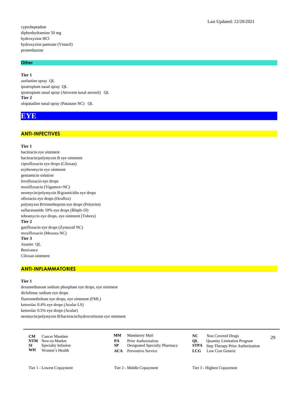cyproheptadine diphenhydramine 50 mg hydroxyzine HCl hydroxyzine pamoate (Vistaril) promethazine

#### **Other**

**Tier 1** azelastine spray QL ipratropium nasal spray QL ipratropium nasal spray (Atrovent nasal aerosol) QL **Tier 2** olopatadine nasal spray (Patanase NC) QL

# **EYE**

#### **ANTI-INFECTIVES**

#### **Tier 1**

bacitracin eye ointment bacitracin/polymyxin B eye ointment ciprofloxacin eye drops (Ciloxan) erythromycin eye ointment gentamicin solution levofloxacin eye drops moxifloxacin (Vigamox=NC) neomycin/polymyxin B/gramicidin eye drops ofloxacin eye drops (Ocuflox) polymyxin B/trimethoprim eye drops (Polytrim) sulfacetamide 10% eye drops (Bleph-10) tobramycin eye drops, eye ointment (Tobrex) **Tier 2** gatifloxacin eye drops (Zymaxid NC) moxifloxacin (Moxeza NC) **Tier 3** Azasite QL Besivance Ciloxan ointment

#### **ANTI-INFLAMMATORIES**

# **Tier 1**

dexamethasone sodium phosphate eye drops, eye ointment diclofenac sodium eye drops fluorometholone eye drops, eye ointment (FML) ketorolac 0.4% eye drops (Acular LS) ketorolac 0.5% eye drops (Acular) neomycin/polymyxin B/bacitracin/hydrocortisone eye ointment

| <b>CM</b> | Cancer Mandate           |    | <b>MM</b> Mandatory Mail      | NC - | Non Covered Drugs                            | 29 |
|-----------|--------------------------|----|-------------------------------|------|----------------------------------------------|----|
|           | <b>NTM</b> New-to-Market | PА | Prior Authorization           | OL   | <b>Quantity Limitation Program</b>           |    |
| SI –      | Specialty Infusion       |    | Designated Specialty Pharmacy |      | <b>STPA</b> Step Therapy Prior Authorization |    |
| WH        | Women's Health           |    | <b>ACA</b> Preventive Service |      | <b>LCG</b> Low Cost Generic                  |    |

- Mandatory Mail **NC** Non Covered Drugs **MM**
- **PA** Prior Authorization<br> **NTM** Step Therapy Prior Authorization Program<br> **STPA** Step Therapy Prior Authoriza
- 
- 
- -
	- **Step Therapy Prior Authorization**
- **ACA** Preventive Service **LCG** Low Cost Generic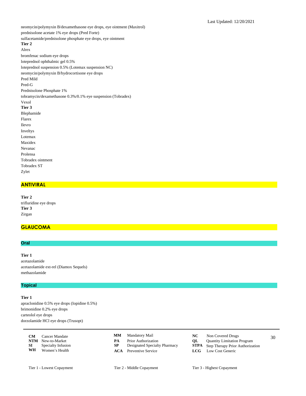neomycin/polymyxin B/dexamethasone eye drops, eye ointment (Maxitrol) prednisolone acetate 1% eye drops (Pred Forte) sulfacetamide/prednisolone phosphate eye drops, eye ointment **Tier 2** Alrex bromfenac sodium eye drops loteprednol ophthalmic gel 0.5% loteprednol suspension 0.5% (Lotemax suspension NC) neomycin/polymyxin B/hydrocortisone eye drops Pred Mild Pred-G Prednisolone Phosphate 1% tobramycin/dexamethasone 0.3%/0.1% eye suspension (Tobradex) Vexol **Tier 3** Blephamide Flarex Ilevro Inveltys Lotemax Maxidex Nevanac Prolensa Tobradex ointment Tobradex ST Zylet

#### **ANTIVIRAL**

**Tier 2** trifluridine eye drops **Tier 3** Zirgan

# **GLAUCOMA**

# **Oral**

**Tier 1** acetazolamide acetazolamide ext-rel (Diamox Sequels) methazolamide

#### **Topical**

## **Tier 1**

apraclonidine 0.5% eye drops (Iopidine 0.5%) brimonidine 0.2% eye drops carteolol eye drops dorzolamide HCl eye drops (Trusopt)

|    | <b>CM</b> Cancer Mandate     |    | <b>MM</b> Mandatory Mail             |      | Non Covered Drugs                            | 30 |
|----|------------------------------|----|--------------------------------------|------|----------------------------------------------|----|
|    | <b>NTM</b> New-to-Market     | PA | <b>Prior Authorization</b>           | OL – | Quantity Limitation Program                  |    |
|    | <b>SI</b> Specialty Infusion |    | <b>Designated Specialty Pharmacy</b> |      | <b>STPA</b> Step Therapy Prior Authorization |    |
| WH | Women's Health               |    | <b>ACA</b> Preventive Service        |      | <b>LCG</b> Low Cost Generic                  |    |

- **MM**
- 
- 
- Mandatory Mail **NC** Non Covered Drugs
	-
- **PA** Prior Authorization<br> **NTM** Designated Specialty Pharmacy<br> **STPA** Step Therapy Prior Authoriza **Step Therapy Prior Authorization**
- **ACA** Preventive Service **LCG** Low Cost Generic
	-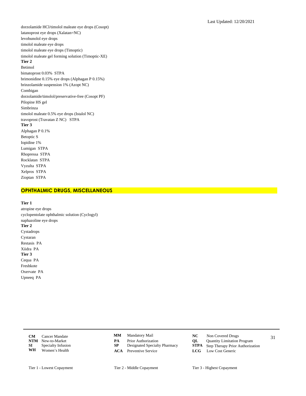dorzolamide HCl/timolol maleate eye drops (Cosopt) latanoprost eye drops (Xalatan=NC) levobunolol eye drops timolol maleate eye drops timolol maleate eye drops (Timoptic) timolol maleate gel forming solution (Timoptic-XE) **Tier 2** Betimol bimatoprost 0.03% STPA brimonidine 0.15% eye drops (Alphagan P 0.15%) brinzolamide suspension 1% (Azopt NC) Combigan dorzolamide/timolol/preservative-free (Cosopt PF) Pilopine HS gel Simbrinza timolol maleate 0.5% eye drops (Istalol NC) travoprost (Travatan Z NC) STPA **Tier 3** Alphagan P 0.1% Betoptic S Iopidine 1% Lumigan STPA Rhopressa STPA Rocklatan STPA Vyzulta STPA Xelpros STPA Zioptan STPA

# **OPHTHALMIC DRUGS, MISCELLANEOUS**

**Tier 1** atropine eye drops cyclopentolate ophthalmic solution (Cyclogyl) naphazoline eye drops **Tier 2** Cystadrops Cystaran Restasis PA Xiidra PA **Tier 3** Cequa PA Freshkote Oxervate PA Upneeq PA

**CM** Cancer Mandate **CMM** Mandatory Mail **NC** Non Covered Drugs 31 **NTM** New-to-Market **PA** Prior Authorization **QL** Quantity Limitation Program<br> **SP** Designated Specialty Pharmacy **STPA** Step Therapy Prior Authoriza **SI** Specialty Infusion **SP** Designated Specialty Pharmacy **STPA** Step Therapy Prior Authorization **WH** Women's Health **ACA** Preventive Service **LCG** Low Cost Generic **Women's Health** 

Mandatory Mail **NC** Non Covered Drugs **MM**

- 
- 
- **ACA** Preventive Service **LCG** Low Cost Generic
- -
	- -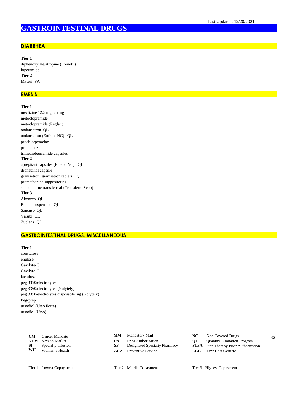# **GASTROINTESTINAL DRUGS**

#### **DIARRHEA**

**Tier 1** diphenoxylate/atropine (Lomotil) loperamide **Tier 2** Mytesi PA

#### **EMESIS**

### **Tier 1**

meclizine 12.5 mg, 25 mg metoclopramide metoclopramide (Reglan) ondansetron QL ondansetron (Zofran=NC) QL prochlorperazine promethazine trimethobenzamide capsules **Tier 2** aprepitant capsules (Emend NC) QL dronabinol capsule granisetron (granisetron tablets) QL promethazine suppositories scopolamine transdermal (Transderm Scop) **Tier 3** Akynzeo QL Emend suspension QL Sancuso QL Varubi QL Zuplenz QL

#### **GASTROINTESTINAL DRUGS, MISCELLANEOUS**

## **Tier 1**

constulose enulose Gavilyte-C Gavilyte-G lactulose peg 3350/electrolytes peg 3350/electrolytes (Nulytely) peg 3350/electrolytes disposable jug (Golytely) Peg-prep ursodiol (Urso Forte) ursodiol (Urso)

|    | <b>CM</b> Cancer Mandate     |    | <b>MM</b> Mandatory Mail      |    | Non Covered Drugs                            | 32 |
|----|------------------------------|----|-------------------------------|----|----------------------------------------------|----|
|    | <b>NTM</b> New-to-Market     | PА | <b>Prior Authorization</b>    | OL | <b>Quantity Limitation Program</b>           |    |
|    | <b>SI</b> Specialty Infusion |    | Designated Specialty Pharmacy |    | <b>STPA</b> Step Therapy Prior Authorization |    |
| WH | Women's Health               |    | <b>ACA</b> Preventive Service |    | <b>LCG</b> Low Cost Generic                  |    |

- **MM**
- 
- 
- 
- Mandatory Mail **NC** Non Covered Drugs
	-
- **PA** Prior Authorization<br> **NTM** Step Therapy Prior Authorization Program<br> **STPA** Step Therapy Prior Authoriza **Step Therapy Prior Authorization**
- **ACA** Preventive Service **LCG** Low Cost Generic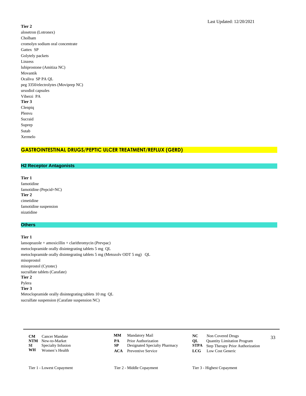#### **Tier 2**

alosetron (Lotronex) Cholbam cromolyn sodium oral concentrate Gattex SP Golytely packets Linzess lubiprostone (Amitiza NC) Movantik Ocaliva SP PA QL peg 3350/electrolytes (Moviprep NC) ursodiol capsules Viberzi PA **Tier 3** Clenpiq Plenvu Sucraid Suprep Sutab Xermelo

# **GASTROINTESTINAL DRUGS/PEPTIC ULCER TREATMENT/REFLUX (GERD)**

# **H2 Receptor Antagonists**

**Tier 1** famotidine famotidine (Pepcid=NC) **Tier 2** cimetidine famotidine suspension nizatidine

# **Others**

#### **Tier 1**

lansoprazole + amoxicillin + clarithromycin (Prevpac) metoclopramide orally disintegrating tablets 5 mg QL metoclopramide orally disintegrating tablets 5 mg (Metozolv ODT 5 mg) QL misoprostol misoprostol (Cytotec) sucralfate tablets (Carafate) **Tier 2** Pylera **Tier 3** Metoclopramide orally disintegrating tablets 10 mg QL sucralfate suspension (Carafate suspension NC)

| <b>CM</b> | Cancer Mandate               | MМ | Mandatory Mail                |    | Non Covered Drugs                            | 33 |
|-----------|------------------------------|----|-------------------------------|----|----------------------------------------------|----|
|           | <b>NTM</b> New-to-Market     | PА | Prior Authorization           | OL | <b>Ouantity Limitation Program</b>           |    |
|           | <b>SI</b> Specialty Infusion |    | Designated Specialty Pharmacy |    | <b>STPA</b> Step Therapy Prior Authorization |    |
| WH        | Women's Health               |    | <b>ACA</b> Preventive Service |    | <b>LCG</b> Low Cost Generic                  |    |

**ACA** Preventive Service **LCG** Low Cost Generic

- Mandatory Mail **NC** Non Covered Drugs
- **PA** Prior Authorization<br> **NTM** Designated Specialty Pharmacy<br> **STPA** Step Therapy Prior Authoriza
	- **Step Therapy Prior Authorization** 
		-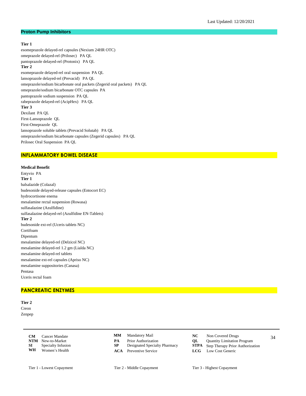#### **Proton Pump Inhibitors**

#### **Tier 1**

esomeprazole delayed-rel capsules (Nexium 24HR OTC) omeprazole delayed-rel (Prilosec) PA QL pantoprazole delayed-rel (Protonix) PA QL **Tier 2** esomeprazole delayed-rel oral suspension PA QL lansoprazole delayed-rel (Prevacid) PA QL omeprazole/sodium bicarbonate oral packets (Zegerid oral packets) PA QL omeprazole/sodium bicarbonate OTC capsules PA pantoprazole sodium suspension PA QL rabeprazole delayed-rel (AcipHex) PA QL **Tier 3** Dexilant PA QL First-Lansoprazole QL First-Omeprazole QL lansoprazole soluble tablets (Prevacid Solutab) PA QL omeprazole/sodium bicarbonate capsules (Zegerid capsules) PA QL

#### **INFLAMMATORY BOWEL DISEASE**

Prilosec Oral Suspension PA QL

#### **Medical Benefit**

Entyvio PA **Tier 1** balsalazide (Colazal) budesonide delayed-release capsules (Entocort EC) hydrocortisone enema mesalamine rectal suspension (Rowasa) sulfasalazine (Azulfidine) sulfasalazine delayed-rel (Azulfidine EN-Tablets) **Tier 2** budesonide ext-rel (Uceris tablets NC) Cortifoam Dipentum mesalamine delayed-rel (Delzicol NC) mesalamine delayed-rel 1.2 gm (Lialda NC) mesalamine delayed-rel tablets mesalamine ext-rel capsules (Apriso NC) mesalamine suppositories (Canasa) Pentasa Uceris rectal foam

#### **PANCREATIC ENZYMES**

**Tier 2** Creon Zenpep

> **CM** Cancer Mandate **CMM** Mandatory Mail **NC** Non Covered Drugs 34 **NTM** New-to-Market **PA** Prior Authorization **QL** Quantity Limitation Program<br> **SP** Designated Specialty Pharmacy **STPA** Step Therapy Prior Authoriza **SI** Specialty Infusion **SP** Designated Specialty Pharmacy **STPA** Step Therapy Prior Authorization **WH** Women's Health **ACA** Preventive Service **LCG** Low Cost Generic **Women's Health**

- Mandatory Mail **NC** Non Covered Drugs **MM**
- 
- 
- **ACA** Preventive Service **LCG** Low Cost Generic
- -
	-
	-

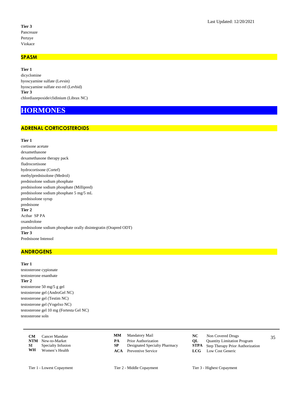## **Tier 3** Pancreaze Pertzye Viokace

## **SPASM**

**Tier 1** dicyclomine hyoscyamine sulfate (Levsin) hyoscyamine sulfate ext-rel (Levbid) **Tier 3** chlordiazepoxide/clidinium (Librax NC)

# **HORMONES**

# **ADRENAL CORTICOSTEROIDS**

#### **Tier 1**

cortisone acetate dexamethasone dexamethasone therapy pack fludrocortisone hydrocortisone (Cortef) methylprednisolone (Medrol) prednisolone sodium phosphate prednisolone sodium phosphate (Millipred) prednisolone sodium phosphate 5 mg/5 mL prednisolone syrup prednisone **Tier 2** Acthar SP PA oxandrolone prednisolone sodium phosphate orally disintegratin (Orapred ODT) **Tier 3** Prednisone Intensol

# **ANDROGENS**

#### **Tier 1**

testosterone cypionate testosterone enanthate **Tier 2** testosterone 50 mg/5 g gel testosterone gel (AndroGel NC) testosterone gel (Testim NC) testosterone gel (Vogelxo NC) testosterone gel 10 mg (Fortesta Gel NC) testosterone soln

| <b>CM</b> | Cancer Mandate            |    | <b>MM</b> Mandatory Mail      | NC - | Non Covered Drugs                            | 35 |
|-----------|---------------------------|----|-------------------------------|------|----------------------------------------------|----|
|           | <b>NTM</b> New-to-Market  | PА | <b>Prior Authorization</b>    | OL   | <b>Quantity Limitation Program</b>           |    |
| SI –      | <b>Specialty Infusion</b> |    | Designated Specialty Pharmacy |      | <b>STPA</b> Step Therapy Prior Authorization |    |
| WH        | Women's Health            |    | <b>ACA</b> Preventive Service |      | <b>LCG</b> Low Cost Generic                  |    |

- **MM**
- **PA** Prior Authorization<br> **NTM** Designated Specialty Pharmacy<br> **STPA** Step Therapy Prior Authoriza
- 
- **ACA** Preventive Service **LCG** Low Cost Generic
- Mandatory Mail **NC** Non Covered Drugs
	- **Step Therapy Prior Authorization**
	- -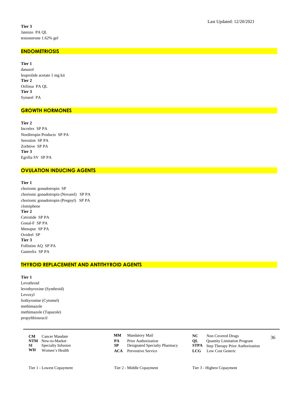## **ENDOMETRIOSIS**

**Tier 1** danazol leuprolide acetate 1 mg kit **Tier 2** Orilissa PA QL **Tier 3** Synarel PA

## **GROWTH HORMONES**

**Tier 2** Increlex SP PA Norditropin Products SP PA Serostim SP PA Zorbtive SP PA **Tier 3** Egrifta SV SP PA

# **OVULATION INDUCING AGENTS**

#### **Tier 1**

chorionic gonadotropin SP chorionic gonadotropin (Novarel) SP PA chorionic gonadotropin (Pregnyl) SP PA clomiphene **Tier 2** Cetrotide SP PA Gonal-F SP PA Menopur SP PA Ovidrel SP **Tier 3** Follistim AQ SP PA Ganirelix SP PA

# **THYROID REPLACEMENT AND ANTITHYROID AGENTS**

## **Tier 1**

Levothroid levothyroxine (Synthroid) Levoxyl liothyronine (Cytomel) methimazole methimazole (Tapazole) propylthiouracil

|      | <b>CM</b> Cancer Mandate |    | <b>MM</b> Mandatory Mail      | NC - | Non Covered Drugs                            | 36 |
|------|--------------------------|----|-------------------------------|------|----------------------------------------------|----|
|      | <b>NTM</b> New-to-Market | PА | <b>Prior Authorization</b>    | OL – | <b>Quantity Limitation Program</b>           |    |
| SI – | Specialty Infusion       |    | Designated Specialty Pharmacy |      | <b>STPA</b> Step Therapy Prior Authorization |    |
| WH   | Women's Health           |    | <b>ACA</b> Preventive Service |      | <b>LCG</b> Low Cost Generic                  |    |

- Mandatory Mail **NC** Non Covered Drugs **MM**
- **PA** Prior Authorization<br> **NTM** Designated Specialty Pharmacy<br> **STPA** Step Therapy Prior Authoriza
- 
- **ACA** Preventive Service **LCG** Low Cost Generic
- 
- 
- **Step Therapy Prior Authorization**
- 
-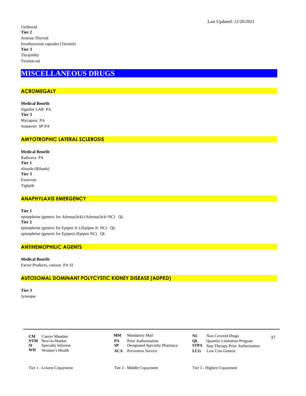Unithroid **Tier 2** Armour Thyroid levothyroxine capsules (Tirosint) **Tier 3** Thyquidity Tirosint-sol

# **MISCELLANEOUS DRUGS**

# **ACROMEGALY**

**Medical Benefit** Signifor LAR PA **Tier 3** Mycapssa PA Somavert SP PA

# **AMYOTROPHIC LATERAL SCLEROSIS**

**Medical Benefit** Radicava PA **Tier 1** riluzole (Rilutek) **Tier 3** Exservan Tiglutik

# **ANAPHYLAXIS EMERGENCY**

**Tier 1** epinephrine (generic for Adrenaclick) (Adrenaclick=NC) QL **Tier 2** epinephrine (generic for Epipen Jr.) (Epipen Jr. NC) QL epinephrine (generic for Epipen) (Epipen NC) QL

## **ANTIHEMOPHILIC AGENTS**

**Medical Benefit** Factor Products, various PA SI

# **AUTOSOMAL DOMINANT POLYCYSTIC KIDNEY DISEASE (ADPKD)**

**Tier 3** Jynarque

> **CM** Cancer Mandate **CMM** Mandatory Mail **NC** Non Covered Drugs 37 **NTM** New-to-Market **PA** Prior Authorization **QL** Quantity Limitation Program<br> **SP** Designated Specialty Pharmacy **STPA** Step Therapy Prior Authoriza **SI** Specialty Infusion **SP** Designated Specialty Pharmacy **STPA** Step Therapy Prior Authorization **WH** Women's Health **ACA** Preventive Service **LCG** Low Cost Generic **Women's Health**

**MM**

- 
- 
- **ACA** Preventive Service **LCG** Low Cost Generic
- Mandatory Mail **NC** Non Covered Drugs
	-
	- -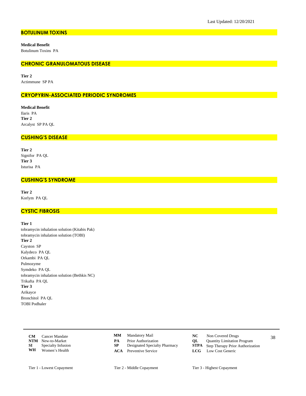# **BOTULINUM TOXINS**

**Medical Benefit** Botulinum Toxins PA

## **CHRONIC GRANULOMATOUS DISEASE**

**Tier 2** Actimmune SP PA

## **CRYOPYRIN-ASSOCIATED PERIODIC SYNDROMES**

**Medical Benefit** Ilaris PA **Tier 2** Arcalyst SP PA QL

# **CUSHING'S DISEASE**

**Tier 2** Signifor PA QL **Tier 3** Isturisa PA

## **CUSHING'S SYNDROME**

**Tier 2** Korlym PA QL

# **CYSTIC FIBROSIS**

### **Tier 1**

tobramycin inhalation solution (Kitabis Pak) tobramycin inhalation solution (TOBI) **Tier 2** Cayston SP Kalydeco PA QL Orkambi PA QL Pulmozyme Symdeko PA QL tobramycin inhalation solution (Bethkis NC) Trikafta PA QL **Tier 3** Arikayce Bronchitol PA QL TOBI Podhaler

|    | <b>CM</b> Cancer Mandate     |    | <b>MM</b> Mandatory Mail      |    | Non Covered Drugs                            | 38 |
|----|------------------------------|----|-------------------------------|----|----------------------------------------------|----|
|    | <b>NTM</b> New-to-Market     | PА | <b>Prior Authorization</b>    | OL | <b>Quantity Limitation Program</b>           |    |
|    | <b>SI</b> Specialty Infusion |    | Designated Specialty Pharmacy |    | <b>STPA</b> Step Therapy Prior Authorization |    |
| WH | Women's Health               |    | <b>ACA</b> Preventive Service |    | <b>LCG</b> Low Cost Generic                  |    |

- **MM**
- **PA** Prior Authorization<br> **NTM** Designated Specialty Pharmacy<br> **STPA** Step Therapy Prior Authoriza
- 
- 
- Mandatory Mail **NC** Non Covered Drugs
	-
	- **Step Therapy Prior Authorization**
- **ACA** Preventive Service **LCG** Low Cost Generic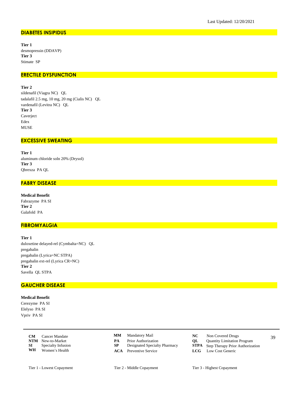## **DIABETES INSIPIDUS**

**Tier 1** desmopressin (DDAVP) **Tier 3** Stimate SP

# **ERECTILE DYSFUNCTION**

**Tier 2**

sildenafil (Viagra NC) QL tadalafil 2.5 mg, 10 mg, 20 mg (Cialis NC) QL vardenafil (Levitra NC) QL **Tier 3** Caverject Edex **MUSE** 

# **EXCESSIVE SWEATING**

**Tier 1** aluminum chloride soln 20% (Drysol) **Tier 3** Qbrexza PA QL

# **FABRY DISEASE**

**Medical Benefit** Fabrazyme PA SI **Tier 2** Galafold PA

# **FIBROMYALGIA**

**Tier 1** duloxetine delayed-rel (Cymbalta=NC) QL pregabalin pregabalin (Lyrica=NC STPA) pregabalin ext-rel (Lyrica CR=NC) **Tier 2** Savella QL STPA

## **GAUCHER DISEASE**

# **Medical Benefit**

Cerezyme PA SI Elelyso PA SI Vpriv PA SI

|    | <b>CM</b> Cancer Mandate     |    | <b>MM</b> Mandatory Mail      |    | Non Covered Drugs                            | 39 |
|----|------------------------------|----|-------------------------------|----|----------------------------------------------|----|
|    | <b>NTM</b> New-to-Market     | PА | <b>Prior Authorization</b>    | OL | <b>Ouantity Limitation Program</b>           |    |
|    | <b>SI</b> Specialty Infusion |    | Designated Specialty Pharmacy |    | <b>STPA</b> Step Therapy Prior Authorization |    |
| WH | Women's Health               |    | <b>ACA</b> Preventive Service |    | <b>LCG</b> Low Cost Generic                  |    |

- Mandatory Mail **NC** Non Covered Drugs **MM**
- **PA** Prior Authorization<br> **NTM** Designated Specialty Pharmacy<br> **STPA** Step Therapy Prior Authoriza
- 
- **ACA** Preventive Service **LCG** Low Cost Generic
- -
	- **Step Therapy Prior Authorization** 
		-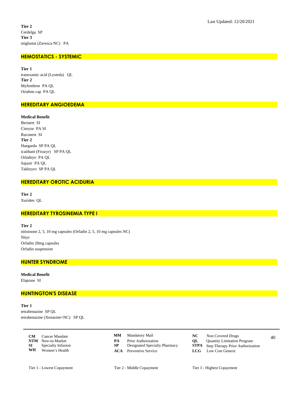Tier 2 Cerdelga SP Tier 3 miglustat (Zavesca NC) PA

## **HEMOSTATICS - SYSTEMIC**

Tier 1 tranexamic acid (Lysteda) QL Tier 2 Myfembree PA QL Oriahnn cap PA QL

# **HEREDITARY ANGIOEDEMA**

#### **Medical Benefit**

Berinert SI Cinryze PA SI Ruconest SI Tier 2 Haegarda SP PA QL icatibant (Firazyr) SP PA QL Orladeyo PA QL Sajazir PA QL Takhzyro SP PA QL

## **HEREDITARY OROTIC ACIDURIA**

Tier 2 Xuriden QL

## **HEREDITARY TYROSINEMIA TYPE I**

Tier 2 nitisinone 2, 5, 10 mg capsules (Orfadin 2, 5, 10 mg capsules NC) Nityr Orfadin 20mg capsules Orfadin suspension

# **HUNTER SYNDROME**

**Medical Benefit** Elaprase SI

## **HUNTINGTON'S DISEASE**

Tier 1 tetrabenazine SP QL tetrabenazine (Xenazine=NC) SP QL

> $CM$ Cancer Mandate NTM New-to-Market  $SI$ Specialty Infusion WH Women's Health

Mandatory Mail  $\mathbf{M}\mathbf{M}$ 

- $\overline{PA}$ Prior Authorization
- ${\bf SP}$ Designated Specialty Pharmacy
- **ACA** Preventive Service
- $NC$ Non Covered Drugs
	- QL Quantity Limitation Program
	- ${\bf STPA}$ Step Therapy Prior Authorization  $LCG$ 
		- Low Cost Generic

Tier 2 - Middle Copayment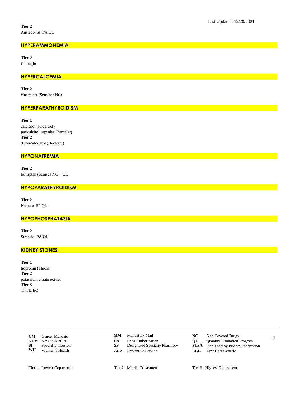## **HYPERAMMONEMIA**

**Tier 2** Carbaglu

## **HYPERCALCEMIA**

**Tier 2** cinacalcet (Sensipar NC)

#### **HYPERPARATHYROIDISM**

**Tier 1** calcitriol (Rocaltrol) paricalcitol capsules (Zemplar) **Tier 2** doxercalciferol (Hectorol)

## **HYPONATREMIA**

**Tier 2** tolvaptan (Samsca NC) QL

## **HYPOPARATHYROIDISM**

**Tier 2** Natpara SP QL

## **HYPOPHOSPHATASIA**

**Tier 2** Strensiq PA QL

# **KIDNEY STONES**

**Tier 1** tiopronin (Thiola) **Tier 2** potassium citrate ext-rel **Tier 3** Thiola EC

> **CM** Cancer Mandate **CMM** Mandatory Mail **CC** Non Covered Drugs 41 **NTM** New-to-Market **PA** Prior Authorization **QL** Quantity Limitation Program<br> **SP** Designated Specialty Pharmacy **STPA** Step Therapy Prior Authoriza **SI** Specialty Infusion **SP** Designated Specialty Pharmacy **STPA** Step Therapy Prior Authorization **WH** Women's Health **ACA** Preventive Service **LCG** Low Cost Generic Women's Health

- Mandatory Mail **NC** Non Covered Drugs **MM**
- 
- 
- 
- -
	-
- **ACA** Preventive Service **LCG** Low Cost Generic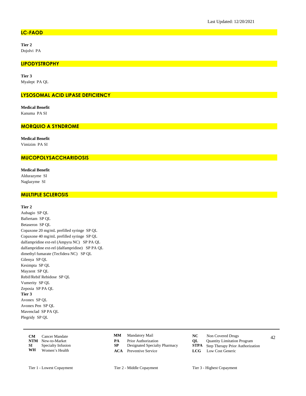## **LC-FAOD**

Tier 2 Dojolvi PA

# **LIPODYSTROPHY**

Tier 3 Myalept PA QL

## **LYSOSOMAL ACID LIPASE DEFICIENCY**

**Medical Benefit** Kanuma PA SI

# **MORQUIO A SYNDROME**

**Medical Benefit** Vimizim PA SI

# **MUCOPOLYSACCHARIDOSIS**

**Medical Benefit** 

Aldurazyme SI Naglazyme SI

# **MULTIPLE SCLEROSIS**

#### Tier 2

Aubagio SP QL Bafiertam SP QL Betaseron SP QL Copaxone 20 mg/mL prefilled syringe SP QL Copaxone 40 mg/mL prefilled syringe SP QL dalfampridine ext-rel (Ampyra NC) SP PA QL dalfampridine ext-rel (dalfampridine) SP PA QL dimethyl fumarate (Tecfidera NC) SP QL Gilenya SP QL Kesimpta SP QL Mayzent SP QL Rebif/Rebif Rebidose SP QL Vumerity SP QL Zeposia SP PA QL Tier 3 Avonex SP OL Avonex Pen SP QL Mavenclad SP PA QL Plegridy SP QL

| CМ         | Cancer Mandate     |
|------------|--------------------|
| <b>NTM</b> | New-to-Market      |
| SІ         | Specialty Infusion |
| WH         | Women's Health     |

- $\mathbf{M}\mathbf{M}$ Mandatory Mail
- $\overline{PA}$ Prior Authorization
- ${\bf SP}$ Designated Specialty Pharmacy
- **ACA** Preventive Service
- $NC$ Non Covered Drugs
	- QL Quantity Limitation Program
	- ${\bf STPA}$ Step Therapy Prior Authorization
	- $LCG$ Low Cost Generic

42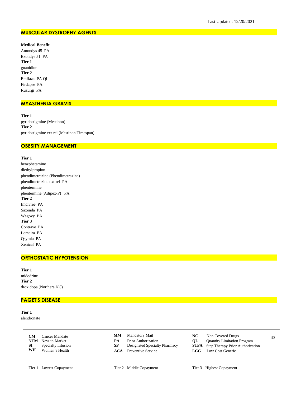# **MUSCULAR DYSTROPHY AGENTS**

#### **Medical Benefit**

Amondys 45 PA Exondys 51 PA **Tier 1** guanidine **Tier 2** Emflaza PA QL Firdapse PA Ruzurgi PA

## **MYASTHENIA GRAVIS**

**Tier 1** pyridostigmine (Mestinon) **Tier 2** pyridostigmine ext-rel (Mestinon Timespan)

# **OBESITY MANAGEMENT**

## **Tier 1**

benzphetamine diethylpropion phendimetrazine (Phendimetrazine) phendimetrazine ext-rel PA phentermine phentermine (Adipex-P) PA **Tier 2** Imcivree PA Saxenda PA Wegovy PA **Tier 3** Contrave PA Lomaira PA Qsymia PA Xenical PA

## **ORTHOSTATIC HYPOTENSION**

**Tier 1** midodrine **Tier 2** droxidopa (Northera NC)

# **PAGET'S DISEASE**

**Tier 1** alendronate

> **CM** Cancer Mandate **CMM** Mandatory Mail **NC** Non Covered Drugs 43 **NTM** New-to-Market **PA** Prior Authorization **QL** Quantity Limitation Program<br> **SP** Designated Specialty Pharmacy **STPA** Step Therapy Prior Authoriza **SI** Specialty Infusion **SP** Designated Specialty Pharmacy **STPA** Step Therapy Prior Authorization **WH** Women's Health **ACA** Preventive Service **LCG** Low Cost Generic Women's Health

- **MM**
- 
- 
- 
- Mandatory Mail **NC** Non Covered Drugs
	-
	-
- **ACA** Preventive Service **LCG** Low Cost Generic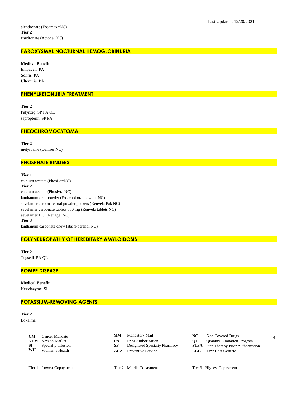# **PAROXYSMAL NOCTURNAL HEMOGLOBINURIA**

**Medical Benefit** Empaveli PA Soliris PA Ultomiris PA

#### **PHENYLKETONURIA TREATMENT**

**Tier 2** Palynziq SP PA QL sapropterin SP PA

## **PHEOCHROMOCYTOMA**

**Tier 2** metyrosine (Demser NC)

# **PHOSPHATE BINDERS**

**Tier 1** calcium acetate (PhosLo=NC) **Tier 2** calcium acetate (Phoslyra NC) lanthanum oral powder (Fosrenol oral powder NC) sevelamer carbonate oral powder packets (Renvela Pak NC) sevelamer carbonate tablets 800 mg (Renvela tablets NC) sevelamer HCl (Renagel NC) **Tier 3** lanthanum carbonate chew tabs (Fosrenol NC)

# **POLYNEUROPATHY OF HEREDITARY AMYLOIDOSIS**

**Tier 2** Tegsedi PA QL

## **POMPE DISEASE**

**Medical Benefit** Nexviazyme SI

## **POTASSIUM-REMOVING AGENTS**

**Tier 2** Lokelma

> **CM** Cancer Mandate **CMM** Mandatory Mail **CMC** Non Covered Drugs 44 **NTM** New-to-Market **PA** Prior Authorization **QL** Quantity Limitation Program<br> **SP** Designated Specialty Pharmacy **STPA** Step Therapy Prior Authoriza **SI** Specialty Infusion **SP** Designated Specialty Pharmacy **STPA** Step Therapy Prior Authorization **WH** Women's Health **ACA** Preventive Service **LCG** Low Cost Generic Women's Health

- Mandatory Mail **NC** Non Covered Drugs **MM**
- 
- 
- **ACA** Preventive Service **LCG** Low Cost Generic
- 
- 
- -

Tier 1 - Lowest Copayment Tier 2 - Middle Copayment Tier 3 - Highest Copayment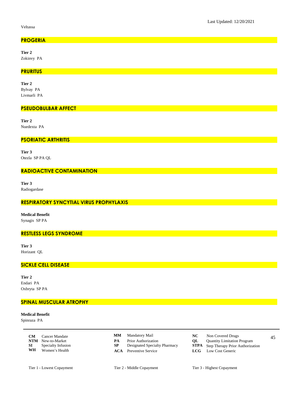Veltassa

# **PROGERIA**

Tier 2 Zokinvy PA

## **PRURITUS**

Tier 2

Bylvay PA Livmarli PA

## **PSEUDOBULBAR AFFECT**

Tier 2

Nuedexta PA

# **PSORIATIC ARTHRITIS**

Tier 3 Otezla SP PA QL

# **RADIOACTIVE CONTAMINATION**

Tier 3 Radiogardase

# RESPIRATORY SYNCYTIAL VIRUS PROPHYLAXIS

**Medical Benefit** Synagis SP PA

# **RESTLESS LEGS SYNDROME**

Tier 3 Horizant QL

# **SICKLE CELL DISEASE**

Tier 2 Endari PA Oxbryta SP PA

# **SPINAL MUSCULAR ATROPHY**

## **Medical Benefit**

Spinraza PA

| CМ         | Cancer Mandate     |
|------------|--------------------|
| <b>NTM</b> | New-to-Market      |
| SI         | Specialty Infusion |
| WH         | Women's Health     |

 $\mathbf{M}\mathbf{M}$ Mandatory Mail  $\overline{PA}$ Prior Authorization

- ${\bf SP}$ Designated Specialty Pharmacy
- **ACA** Preventive Service
- $NC$ Non Covered Drugs
- $QL$ Quantity Limitation Program
- ${\bf STPA}$ Step Therapy Prior Authorization  $LCG$ 
	- Low Cost Generic

Tier 2 - Middle Copayment

45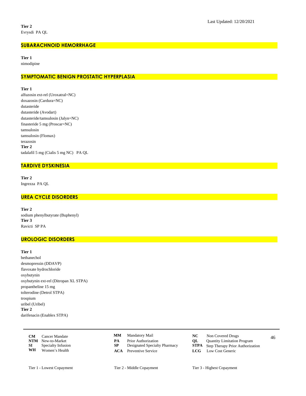## **SUBARACHNOID HEMORRHAGE**

Tier 1

nimodipine

# SYMPTOMATIC BENIGN PROSTATIC HYPERPLASIA

Tier 1

alfuzosin ext-rel (Uroxatral=NC) doxazosin (Cardura=NC) dutasteride dutasteride (Avodart) dutasteride/tamsulosin (Jalyn=NC) finasteride 5 mg (Proscar=NC) tamsulosin tamsulosin (Flomax) terazosin Tier 2 tadalafil 5 mg (Cialis 5 mg NC) PA QL

# **TARDIVE DYSKINESIA**

Tier 2 Ingrezza PA QL

## **UREA CYCLE DISORDERS**

Tier 2 sodium phenylbutyrate (Buphenyl) Tier 3 Ravicti SP PA

# **UROLOGIC DISORDERS**

Tier 1 bethanechol desmopressin (DDAVP) flavoxate hydrochloride oxybutynin oxybutynin ext-rel (Ditropan XL STPA) propantheline 15 mg tolterodine (Detrol STPA) trospium uribel (Uribel) Tier 2 darifenacin (Enablex STPA)

| CМ         | <b>Cancer Mandate</b> |
|------------|-----------------------|
| <b>NTM</b> | New-to-Market         |
| SІ         | Specialty Infusion    |
| WH         | Women's Health        |

- $\mathbf{M}\mathbf{M}$ Mandatory Mail
- PA Prior Authorization
- ${\bf SP}$ Designated Specialty Pharmacy
- **ACA** Preventive Service
- $NC$ Non Covered Drugs
	- $QL$ Quantity Limitation Program
	- ${\bf STPA}$ Step Therapy Prior Authorization
	- $LCG$ Low Cost Generic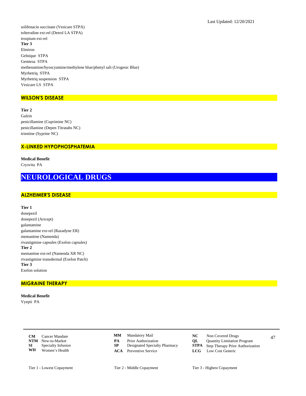solifenacin succinate (Vesicare STPA) tolterodine ext-rel (Detrol LA STPA) trospium ext-rel Tier 3 Elmiron Gelnique STPA Gemtesa STPA methenamine/hyoscyamine/methylene blue/phenyl sali (Urogesic Blue) Myrbetriq STPA Myrbetriq suspension STPA Vesicare LS STPA

# **WILSON'S DISEASE**

Tier 2 Galzin penicillamine (Cuprimine NC) penicillamine (Depen Titratabs NC) trientine (Syprine NC)

# **X-LINKED HYPOPHOSPHATEMIA**

**Medical Benefit** Crysvita PA

# **NEUROLOGICAL DRUGS**

# **ALZHEIMER'S DISEASE**

Tier 1

donepezil donepezil (Aricept) galantamine galantamine ext-rel (Razadyne ER) memantine (Namenda) rivastigmine capsules (Exelon capsules) Tier 2 memantine ext-rel (Namenda XR NC) rivastigmine transdermal (Exelon Patch) Tier 3 Exelon solution

# **MIGRAINE THERAPY**

**Medical Benefit** Vyepti PA

> $CM$ Cancer Mandate NTM New-to-Market  $SI$ Specialty Infusion WH Women's Health

- Mandatory Mail  $\mathbf{M}\mathbf{M}$
- $\overline{PA}$ Prior Authorization
- ${\bf SP}$ Designated Specialty Pharmacy
- **ACA** Preventive Service
- $NC$ Non Covered Drugs
	- QL Quantity Limitation Program
	- ${\bf STPA}$ Step Therapy Prior Authorization
	- $LCG$ Low Cost Generic
- Tier 2 Middle Copayment

47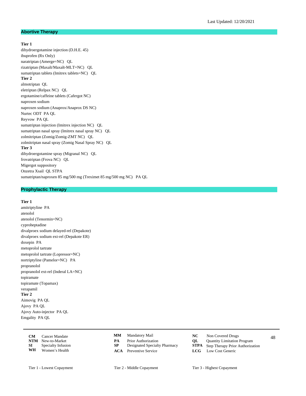#### **Abortive Therapy**

## **Tier 1**

dihydroergotamine injection (D.H.E. 45) ibuprofen (Rx Only) naratriptan (Amerge=NC) QL rizatriptan (Maxalt/Maxalt-MLT=NC) QL sumatriptan tablets (Imitrex tablets=NC) QL **Tier 2** almotriptan QL eletriptan (Relpax NC) QL ergotamine/caffeine tablets (Cafergot NC) naproxen sodium naproxen sodium (Anaprox/Anaprox DS NC) Nurtec ODT PA QL Reyvow PA QL sumatriptan injection (Imitrex injection NC) QL sumatriptan nasal spray (Imitrex nasal spray NC) QL zolmitriptan (Zomig/Zomig-ZMT NC) QL zolmitriptan nasal spray (Zomig Nasal Spray NC) QL **Tier 3** dihydroergotamine spray (Migranal NC) QL frovatriptan (Frova NC) QL Migergot suppository Onzetra Xsail QL STPA sumatriptan/naproxen 85 mg/500 mg (Treximet 85 mg/500 mg NC) PA QL

# **Prophylactic Therapy**

#### **Tier 1**

amitriptyline PA atenolol atenolol (Tenormin=NC) cyproheptadine divalproex sodium delayed-rel (Depakote) divalproex sodium ext-rel (Depakote ER) doxepin PA metoprolol tartrate metoprolol tartrate (Lopressor=NC) nortriptyline (Pamelor=NC) PA propranolol propranolol ext-rel (Inderal LA=NC) topiramate topiramate (Topamax) verapamil **Tier 2** Aimovig PA QL Ajovy PA QL Ajovy Auto-injector PA QL Emgality PA QL

|    | <b>CM</b> Cancer Mandate |    | <b>MM</b> Mandatory Mail      |    | Non Covered Drugs                            | 48 |
|----|--------------------------|----|-------------------------------|----|----------------------------------------------|----|
|    | <b>NTM</b> New-to-Market | PА | <b>Prior Authorization</b>    | OL | <b>Quantity Limitation Program</b>           |    |
| SI | Specialty Infusion       |    | Designated Specialty Pharmacy |    | <b>STPA</b> Step Therapy Prior Authorization |    |
| WH | Women's Health           |    | <b>ACA</b> Preventive Service |    | <b>LCG</b> Low Cost Generic                  |    |

- **MM**
- 
- 
- **ACA** Preventive Service **LCG** Low Cost Generic
- Mandatory Mail **NC** Non Covered Drugs
	-
- **PA** Prior Authorization<br> **NTM** Step Therapy Prior Authorization Program<br> **STPA** Step Therapy Prior Authoriza **Step Therapy Prior Authorization** 
	-
- Tier 1 Lowest Copayment Tier 2 Middle Copayment Tier 3 Highest Copayment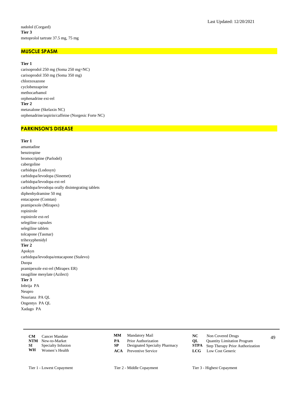#### **MUSCLE SPASM**

#### **Tier 1**

carisoprodol 250 mg (Soma 250 mg=NC) carisoprodol 350 mg (Soma 350 mg) chlorzoxazone cyclobenzaprine methocarbamol orphenadrine ext-rel **Tier 2** metaxalone (Skelaxin NC) orphenadrine/aspirin/caffeine (Norgesic Forte NC)

# **PARKINSON'S DISEASE**

#### **Tier 1**

amantadine benztropine bromocriptine (Parlodel) cabergoline carbidopa (Lodosyn) carbidopa/levodopa (Sinemet) carbidopa/levodopa ext-rel carbidopa/levodopa orally disintegrating tablets diphenhydramine 50 mg entacapone (Comtan) pramipexole (Mirapex) ropinirole ropinirole ext-rel selegiline capsules selegiline tablets tolcapone (Tasmar) trihexyphenidyl **Tier 2** Apokyn carbidopa/levodopa/entacapone (Stalevo) Duopa pramipexole ext-rel (Mirapex ER) rasagiline mesylate (Azilect) **Tier 3** Inbrija PA Neupro Nourianz PA QL Ongentys PA QL Xadago PA

|      | <b>CM</b> Cancer Mandate |    | <b>MM</b> Mandatory Mail      |             | Non Covered Drugs                            | 49 |
|------|--------------------------|----|-------------------------------|-------------|----------------------------------------------|----|
|      | <b>NTM</b> New-to-Market | PА | <b>Prior Authorization</b>    | $_{\rm OL}$ | <b>Ouantity Limitation Program</b>           |    |
| SI – | Specialty Infusion       |    | Designated Specialty Pharmacy |             | <b>STPA</b> Step Therapy Prior Authorization |    |
| WH   | Women's Health           |    | <b>ACA</b> Preventive Service |             | <b>LCG</b> Low Cost Generic                  |    |

- **MM**
- 
- 
- 
- Mandatory Mail **NC** Non Covered Drugs
	-
- **PA** Prior Authorization<br> **NTM** Designated Specialty Pharmacy<br> **STPA** Step Therapy Prior Authoriza **Step Therapy Prior Authorization**
- **ACA** Preventive Service **LCG** Low Cost Generic
- Tier 1 Lowest Copayment Tier 2 Middle Copayment Tier 3 Highest Copayment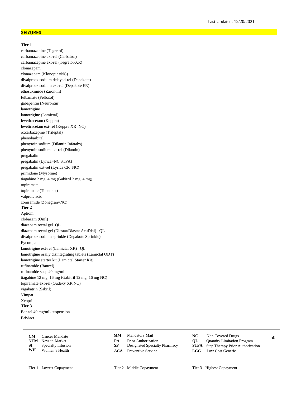## **SEIZURES**

#### **Tier 1**

carbamazepine (Tegretol) carbamazepine ext-rel (Carbatrol) carbamazepine ext-rel (Tegretol-XR) clonazepam clonazepam (Klonopin=NC) divalproex sodium delayed-rel (Depakote) divalproex sodium ext-rel (Depakote ER) ethosuximide (Zarontin) felbamate (Felbatol) gabapentin (Neurontin) lamotrigine lamotrigine (Lamictal) levetiracetam (Keppra) levetiracetam ext-rel (Keppra XR=NC) oxcarbazepine (Trileptal) phenobarbital phenytoin sodium (Dilantin Infatabs) phenytoin sodium ext-rel (Dilantin) pregabalin pregabalin (Lyrica=NC STPA) pregabalin ext-rel (Lyrica CR=NC) primidone (Mysoline) tiagabine 2 mg, 4 mg (Gabitril 2 mg, 4 mg) topiramate topiramate (Topamax) valproic acid zonisamide (Zonegran=NC) **Tier 2** Aptiom clobazam (Onfi) diazepam rectal gel QL diazepam rectal gel (Diastat/Diastat AcuDial) QL divalproex sodium sprinkle (Depakote Sprinkle) Fycompa lamotrigine ext-rel (Lamictal XR) QL lamotrigine orally disintegrating tablets (Lamictal ODT) lamotrigine starter kit (Lamictal Starter Kit) rufinamide (Banzel) rufinamide susp 40 mg/ml tiagabine 12 mg, 16 mg (Gabitril 12 mg, 16 mg NC) topiramate ext-rel (Qudexy XR NC) vigabatrin (Sabril) Vimpat Xcopri **Tier 3** Banzel 40 mg/mL suspension Briviact

|    | <b>CM</b> Cancer Mandate     |    | <b>MM</b> Mandatory Mail      | NC | Non Covered Drugs                            | 50 |
|----|------------------------------|----|-------------------------------|----|----------------------------------------------|----|
|    | <b>NTM</b> New-to-Market     | PА | <b>Prior Authorization</b>    | OL | Quantity Limitation Program                  |    |
|    | <b>SI</b> Specialty Infusion |    | Designated Specialty Pharmacy |    | <b>STPA</b> Step Therapy Prior Authorization |    |
| WH | Women's Health               |    | <b>ACA</b> Preventive Service |    | <b>LCG</b> Low Cost Generic                  |    |

- Mandatory Mail **NC** Non Covered Drugs **MM**
- **PA** Prior Authorization<br> **NTM** Designated Specialty Pharmacy<br> **STPA** Step Therapy Prior Authoriza
- 
- 
- -
	- **Step Therapy Prior Authorization**
- **ACA** Preventive Service **LCG** Low Cost Generic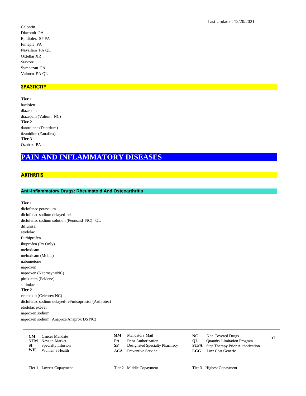Celontin Diacomit PA Epidiolex SP PA Fintepla PA Nayzilam PA QL Oxtellar XR Stavzor Sympazan PA Valtoco PA QL

## **SPASTICITY**

**Tier 1** baclofen diazepam diazepam (Valium=NC) **Tier 2** dantrolene (Dantrium) tizanidine (Zanaflex) **Tier 3** Ozobax PA

# **PAIN AND INFLAMMATORY DISEASES**

# **ARTHRITIS**

## **Anti-Inflammatory Drugs: Rheumatoid And Osteoarthritis**

#### **Tier 1**

diclofenac potassium diclofenac sodium delayed-rel diclofenac sodium solution (Pennsaid=NC) QL diflunisal etodolac flurbiprofen ibuprofen (Rx Only) meloxicam meloxicam (Mobic) nabumetone naproxen naproxen (Naprosyn=NC) piroxicam (Feldene) sulindac **Tier 2** celecoxib (Celebrex NC) diclofenac sodium delayed-rel/misoprostol (Arthrotec) etodolac ext-rel naproxen sodium naproxen sodium (Anaprox/Anaprox DS NC)

| CM | Cancer Mandate               | MМ | Mandatory Mail                |    | Non Covered Drugs                            |  |
|----|------------------------------|----|-------------------------------|----|----------------------------------------------|--|
|    | <b>NTM</b> New-to-Market     | PА | <b>Prior Authorization</b>    | OL | <b>Quantity Limitation Program</b>           |  |
|    | <b>SI</b> Specialty Infusion |    | Designated Specialty Pharmacy |    | <b>STPA</b> Step Therapy Prior Authorization |  |
| WH | Women's Health               |    | <b>ACA</b> Preventive Service |    | <b>LCG</b> Low Cost Generic                  |  |

- Mandatory Mail **NC** Non Covered Drugs **MM**
- 
- 
- 
- -
- **PA** Prior Authorization<br> **NTM** Designated Specialty Pharmacy<br> **STPA** Step Therapy Prior Authoriza **Step Therapy Prior Authorization**
- **ACA** Preventive Service **LCG** Low Cost Generic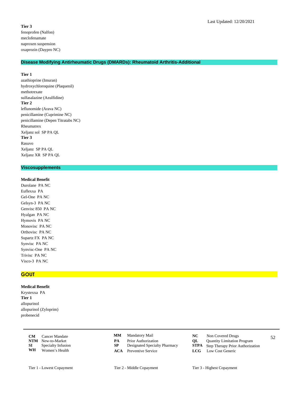#### **Tier 3**

fenoprofen (Nalfon) meclofenamate naproxen suspension oxaprozin (Daypro NC)

## **Disease Modifying Antirheumatic Drugs (DMARDs): Rheumatoid Arthritis-Additional**

## **Tier 1**

azathioprine (Imuran) hydroxychloroquine (Plaquenil) methotrexate sulfasalazine (Azulfidine) **Tier 2** leflunomide (Arava NC) penicillamine (Cuprimine NC) penicillamine (Depen Titratabs NC) Rheumatrex Xeljanz sol SP PA QL **Tier 3** Rasuvo Xeljanz SP PA QL Xeljanz XR SP PA QL

## **Viscosupplements**

**Medical Benefit** Durolane PA NC Euflexxa PA Gel-One PA NC Gelsyn-3 PA NC Genvisc 850 PA NC Hyalgan PA NC Hymovis PA NC Monovisc PA NC Orthovisc PA NC Supartz FX PA NC Synvisc PA NC Synvisc-One PA NC Trivisc PA NC Visco-3 PA NC

#### **GOUT**

#### **Medical Benefit**

Krystexxa PA **Tier 1** allopurinol allopurinol (Zyloprim) probenecid

|      | <b>CM</b> Cancer Mandate  | <b>MM</b> Mandatory Mail      |    | Non Covered Drugs                            | 52 |
|------|---------------------------|-------------------------------|----|----------------------------------------------|----|
|      | <b>NTM</b> New-to-Market  | <b>Prior Authorization</b>    | OL | <b>Quantity Limitation Program</b>           |    |
| SI – | <b>Specialty Infusion</b> | Designated Specialty Pharmacy |    | <b>STPA</b> Step Therapy Prior Authorization |    |
| WH   | Women's Health            | <b>ACA</b> Preventive Service |    | <b>LCG</b> Low Cost Generic                  |    |

- Mandatory Mail **NC** Non Covered Drugs **MM**
- **PA** Prior Authorization<br> **NTM** Designated Specialty Pharmacy<br> **STPA** Step Therapy Prior Authoriza
- 
- **ACA** Preventive Service **LCG** Low Cost Generic
- -
	- **Step Therapy Prior Authorization** 
		-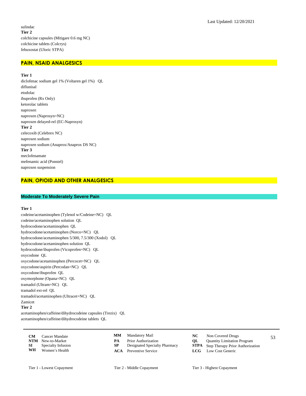sulindac **Tier 2** colchicine capsules (Mitigare 0.6 mg NC) colchicine tablets (Colcrys) febuxostat (Uloric STPA)

# **PAIN, NSAID ANALGESICS**

**Tier 1**

diclofenac sodium gel 1% (Voltaren gel 1%) QL diflunisal etodolac ibuprofen (Rx Only) ketorolac tablets naproxen naproxen (Naprosyn=NC) naproxen delayed-rel (EC-Naprosyn) **Tier 2** celecoxib (Celebrex NC) naproxen sodium naproxen sodium (Anaprox/Anaprox DS NC) **Tier 3** meclofenamate mefenamic acid (Ponstel) naproxen suspension

## **PAIN, OPIOID AND OTHER ANALGESICS**

#### **Moderate To Moderately Severe Pain**

#### **Tier 1**

codeine/acetaminophen (Tylenol w/Codeine=NC) QL codeine/acetaminophen solution QL hydrocodone/acetaminophen QL hydrocodone/acetaminophen (Norco=NC) QL hydrocodone/acetaminophen 5/300, 7.5/300 (Xodol) QL hydrocodone/acetaminophen solution QL hydrocodone/ibuprofen (Vicoprofen=NC) QL oxycodone QL oxycodone/acetaminophen (Percocet=NC) QL oxycodone/aspirin (Percodan=NC) QL oxycodone/ibuprofen QL oxymorphone (Opana=NC) QL tramadol (Ultram=NC) QL tramadol ext-rel QL tramadol/acetaminophen (Ultracet=NC) QL Zamicet **Tier 2** acetaminophen/caffeine/dihydrocodeine capsules (Trezix) QL acetaminophen/caffeine/dihydrocodeine tablets QL

**CM** Cancer Mandate **CMM** Mandatory Mail **NC** Non Covered Drugs 53 **NTM** New-to-Market **PA** Prior Authorization **QL** Quantity Limitation Program<br> **SP** Designated Specialty Pharmacy **STPA** Step Therapy Prior Authoriza

**Women's Health** 

**MM**

- 
- 
- Mandatory Mail **NC** Non Covered Drugs
	-
- **SI** Specialty Infusion **SP** Designated Specialty Pharmacy **STPA** Step Therapy Prior Authorization **WH** Women's Health **ACA** Preventive Service **LCG** Low Cost Generic
	- **ACA** Preventive Service **LCG** Low Cost Generic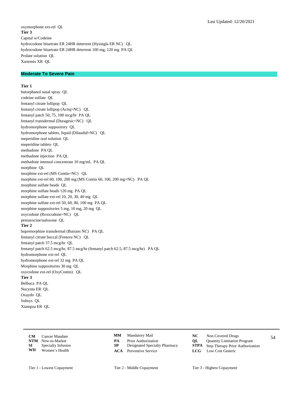oxymorphone ext-rel QL **Tier 3** Capital w/Codeine hydrocodone bitartrate ER 24HR deterrent (Hysingla ER NC) QL hydrocodone bitartrate ER 24HR deterrent 100 mg, 120 mg PA QL Prolate solution QL Xartemis XR QL

### **Moderate To Severe Pain**

## **Tier 1**

butorphanol nasal spray QL codeine sulfate QL fentanyl citrate lollipop QL fentanyl citrate lollipop (Actiq=NC) QL fentanyl patch 50, 75, 100 mcg/hr PA QL fentanyl transdermal (Duragesic=NC) QL hydromorphone suppository QL hydromorphone tablets, liquid (Dilaudid=NC) QL meperidine oral solution QL meperidine tablets QL methadone PA QL methadone injection PA QL methadone intensol concentrate 10 mg/mL PA QL morphine QL morphine ext-rel (MS Contin=NC) QL morphine ext-rel 60, 100, 200 mg (MS Contin 60, 100, 200 mg=NC) PA QL morphine sulfate beads QL morphine sulfate beads 120 mg PA QL morphine sulfate ext-rel 10, 20, 30, 40 mg QL morphine sulfate ext-rel 50, 60, 80, 100 mg PA QL morphine suppositories 5 mg, 10 mg, 20 mg QL oxycodone (Roxicodone=NC) QL pentazocine/naloxone QL **Tier 2** buprenorphine transdermal (Butrans NC) PA QL fentanyl citrate buccal (Fentora NC) QL fentanyl patch 37.5 mcg/hr QL fentanyl patch 62.5 mcg/hr, 87.5 mcg/hr (fentanyl patch 62.5, 87.5 mcg/hr) PA QL hydromorphone ext-rel QL hydromorphone ext-rel 32 mg PA QL Morphine suppositories 30 mg QL oxycodone ext-rel (OxyContin) QL **Tier 3** Belbuca PA QL Nucynta ER QL Oxaydo QL Subsys QL Xtampza ER QL

|      | <b>CM</b> Cancer Mandate  |     | <b>MM</b> Mandatory Mail      |      | Non Covered Drugs                            | 54 |
|------|---------------------------|-----|-------------------------------|------|----------------------------------------------|----|
|      | <b>NTM</b> New-to-Market  | PА  | <b>Prior Authorization</b>    | OL – | <b>Quantity Limitation Program</b>           |    |
| SI – | <b>Specialty Infusion</b> | SP. | Designated Specialty Pharmacy |      | <b>STPA</b> Step Therapy Prior Authorization |    |
| WH   | Women's Health            |     | <b>ACA</b> Preventive Service |      | <b>LCG</b> Low Cost Generic                  |    |

- **MM**
- **PA** Prior Authorization<br> **NTM** Step Therapy Prior Authorization Program<br> **STPA** Step Therapy Prior Authoriza
- 
- **ACA** Preventive Service **LCG** Low Cost Generic
- Mandatory Mail **NC** Non Covered Drugs
	-
	- **Step Therapy Prior Authorization** 
		-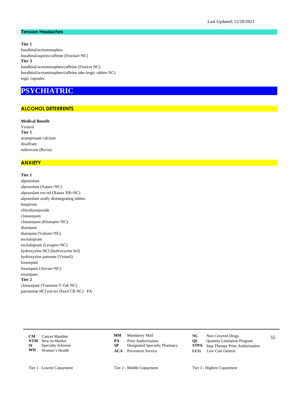## **Tension Headaches**

**Tier 1** butalbital/acetaminophen butalbital/aspirin/caffeine (Fiorinal=NC) **Tier 3** butalbital/acetaminophen/caffeine (Fioricet NC) butalbital/acetaminophen/caffeine tabs (esgic tablets NC) esgic capsules

# **PSYCHIATRIC**

# **ALCOHOL DETERRENTS**

**Medical Benefit** Vivitrol **Tier 1** acamprosate calcium disulfram naltrexone (Revia)

# **ANXIETY**

# **Tier 1**

alprazolam alprazolam (Xanax=NC) alprazolam ext-rel (Xanax XR=NC) alprazolam orally disintegrating tablets buspirone chlordiazepoxide clonazepam clonazepam (Klonopin=NC) diazepam diazepam (Valium=NC) escitalopram escitalopram (Lexapro=NC) hydroxyzine HCl (hydroxyzine hcl) hydroxyzine pamoate (Vistaril) lorazepam lorazepam (Ativan=NC) oxazepam **Tier 2** clorazepate (Tranxene T-Tab NC) paroxetine HCl ext-rel (Paxil CR NC) PA

> **CM** Cancer Mandate **CMM** Mandatory Mail **NC** Non Covered Drugs 55 **NTM** New-to-Market **PA** Prior Authorization **QL** Quantity Limitation Program<br> **SP** Designated Specialty Pharmacy **STPA** Step Therapy Prior Authoriza **SI** Specialty Infusion **SP** Designated Specialty Pharmacy **STPA** Step Therapy Prior Authorization **WH** Women's Health **ACA** Preventive Service **LCG** Low Cost Generic **Women's Health**

- Mandatory Mail **NC** Non Covered Drugs **MM**
- 
- 
- 
- -
	-
- **ACA** Preventive Service **LCG** Low Cost Generic
- Tier 1 Lowest Copayment Tier 2 Middle Copayment Tier 3 Highest Copayment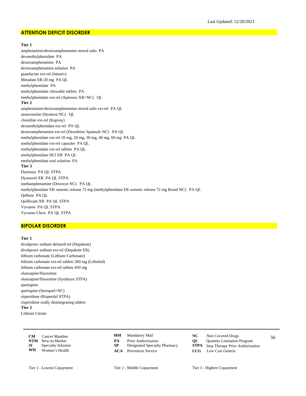## **ATTENTION DEFICIT DISORDER**

#### **Tier 1**

amphetamine/dextroamphetamine mixed salts PA dexmethylphenidate PA dextroamphetamine PA dextroamphetamine solution PA guanfacine ext-rel (Intuniv) Metadate ER 20 mg PA QL methylphenidate PA methylphenidate chewable tablets PA methylphenidate ext-rel (Aptensio XR=NC) QL **Tier 2** amphetamine/dextroamphetamine mixed salts ext-rel PA QL atomoxetine (Strattera NC) QL clonidine ext-rel (Kapvay) dexmethylphenidate ext-rel PA QL dextroamphetamine ext-rel (Dexedrine Spansule NC) PA QL methylphenidate ext-rel 10 mg, 20 mg, 30 mg, 40 mg, 60 mg PA QL methylphenidate ext-rel capsules PA QL methylphenidate ext-rel tablets PA QL methylphenidate HCl ER PA QL methylphenidate oral solution PA **Tier 3** Daytrana PA QL STPA Dyanavel XR PA QL STPA methamphetamine (Desoxyn NC) PA QL methylphenidate ER osmotic release 72 mg (methylphenidate ER osmotic release 72 mg Brand NC) PA QL Qelbree PA QL Quillivant XR PA QL STPA Vyvanse PA QL STPA Vyvanse Chew PA QL STPA

## **BIPOLAR DISORDER**

## **Tier 1**

divalproex sodium delayed-rel (Depakote) divalproex sodium ext-rel (Depakote ER) lithium carbonate (Lithium Carbonate) lithium carbonate ext-rel tablets 300 mg (Lithobid) lithium carbonate ext-rel tablets 450 mg olanzapine/fluoxetine olanzapine/fluoxetine (Symbyax STPA) quetiapine quetiapine (Seroquel=NC) risperidone (Risperdal STPA) risperidone orally disintegrating tablets **Tier 2** Lithium Citrate

|    | <b>CM</b> Cancer Mandate     |    | <b>MM</b> Mandatory Mail      | Non Covered Drugs                            | 56 |
|----|------------------------------|----|-------------------------------|----------------------------------------------|----|
|    | <b>NTM</b> New-to-Market     | PА | <b>Prior Authorization</b>    | <b>QL</b> Quantity Limitation Program        |    |
|    | <b>SI</b> Specialty Infusion |    | Designated Specialty Pharmacy | <b>STPA</b> Step Therapy Prior Authorization |    |
| WH | Women's Health               |    | <b>ACA</b> Preventive Service | <b>LCG</b> Low Cost Generic                  |    |

- **MM**
- **PA** Prior Authorization<br> **NTM** Step Therapy Prior Authorization Program<br> **STPA** Step Therapy Prior Authoriza
- 
- Mandatory Mail **NC** Non Covered Drugs
	-
	- **Step Therapy Prior Authorization**
- **ACA** Preventive Service **LCG** Low Cost Generic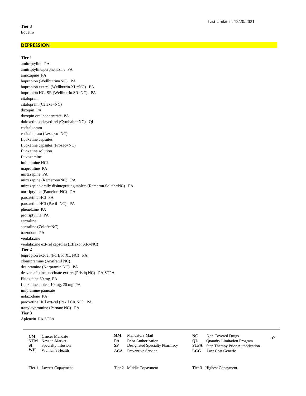### **DEPRESSION**

# **Tier 1**

amitriptyline PA amitriptyline/perphenazine PA amoxapine PA bupropion (Wellbutrin=NC) PA bupropion ext-rel (Wellbutrin XL=NC) PA bupropion HCl SR (Wellbutrin SR=NC) PA citalopram citalopram (Celexa=NC) doxepin PA doxepin oral concentrate PA duloxetine delayed-rel (Cymbalta=NC) QL escitalopram escitalopram (Lexapro=NC) fluoxetine capsules fluoxetine capsules (Prozac=NC) fluoxetine solution fluvoxamine imipramine HCl maprotiline PA mirtazapine PA mirtazapine (Remeron=NC) PA mirtazapine orally disintegrating tablets (Remeron Soltab=NC) PA nortriptyline (Pamelor=NC) PA paroxetine HCl PA paroxetine HCl (Paxil=NC) PA phenelzine PA protriptyline PA sertraline sertraline (Zoloft=NC) trazodone PA venlafaxine venlafaxine ext-rel capsules (Effexor XR=NC) **Tier 2** bupropion ext-rel (Forfivo XL NC) PA clomipramine (Anafranil NC) desipramine (Norpramin NC) PA desvenlafaxine succinate ext-rel (Pristiq NC) PA STPA Fluoxetine 60 mg PA fluoxetine tablets 10 mg, 20 mg PA imipramine pamoate nefazodone PA paroxetine HCl ext-rel (Paxil CR NC) PA tranylcypromine (Parnate NC) PA **Tier 3** Aplenzin PA STPA

|    | <b>CM</b> Cancer Mandate     |    | <b>MM</b> Mandatory Mail      |    | Non Covered Drugs                            | 57 |
|----|------------------------------|----|-------------------------------|----|----------------------------------------------|----|
|    | <b>NTM</b> New-to-Market     | PА | <b>Prior Authorization</b>    | OL | <b>Quantity Limitation Program</b>           |    |
|    | <b>SI</b> Specialty Infusion |    | Designated Specialty Pharmacy |    | <b>STPA</b> Step Therapy Prior Authorization |    |
| WH | Women's Health               |    | <b>ACA</b> Preventive Service |    | <b>LCG</b> Low Cost Generic                  |    |

- 
- -
- Mandatory Mail **NC** Non Covered Drugs
	-
- **PA** Prior Authorization<br> **NTM** Step Therapy Prior Authorization Program<br> **STPA** Step Therapy Prior Authoriza **Step Therapy Prior Authorization**
- **ACA** Preventive Service **LCG** Low Cost Generic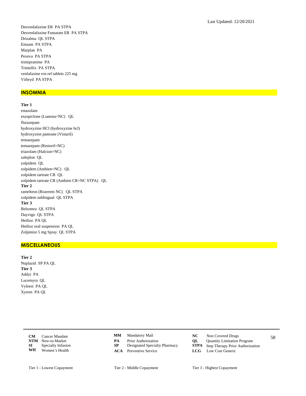Desvenlafaxine ER PA STPA Desvenlafaxine Fumarate ER PA STPA Drizalma OL STPA Emsam PA STPA Marplan PA Pexeva PA STPA trimipramine PA Trintellix PA STPA venlafaxine ext-rel tablets 225 mg Viibryd PA STPA

## **INSOMNIA**

# Tier 1

estazolam eszopiclone (Lunesta=NC) QL flurazepam hydroxyzine HCl (hydroxyzine hcl) hydroxyzine pamoate (Vistaril) temazepam temazepam (Restoril=NC) triazolam (Halcion=NC) zaleplon QL zolpidem QL zolpidem (Ambien=NC) QL zolpidem tartrate CR QL zolpidem tartrate CR (Ambien CR=NC STPA) QL Tier 2 ramelteon (Rozerem NC) QL STPA zolpidem sublingual QL STPA Tier 3 Belsomra QL STPA Dayvigo QL STPA Hetlioz PA QL Hetlioz oral suspension PA QL Zolpimist 5 mg Spray QL STPA

## **MISCELLANEOUS**

Tier 2 Nuplazid SP PA QL Tier 3 Addyi PA Lucemyra QL Vyleesi PA QL Xyrem PA QL

| CM.        | Cancer Mandate     |
|------------|--------------------|
| <b>NTM</b> | New-to-Market      |
| ST.        | Specialty Infusion |
| WH         | Women's Health     |

- $\mathbf{M}\mathbf{M}$ Mandatory Mail
- $\overline{PA}$ Prior Authorization
- ${\bf SP}$ Designated Specialty Pharmacy
- **ACA** Preventive Service
- $NC$ Non Covered Drugs
	- QL Quantity Limitation Program
	- ${\bf STPA}$ Step Therapy Prior Authorization
	- $LCG$ Low Cost Generic
- Tier 2 Middle Copayment

58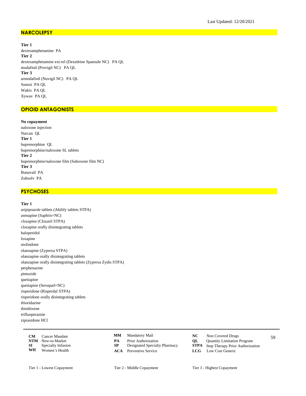## **NARCOLEPSY**

**Tier 1** dextroamphetamine PA **Tier 2** dextroamphetamine ext-rel (Dexedrine Spansule NC) PA QL modafinil (Provigil NC) PA QL **Tier 3** armodafinil (Nuvigil NC) PA QL Sunosi PA QL Wakix PA QL Xywav PA QL

# **OPIOID ANTAGONISTS**

# **No copayment**

naloxone injection Narcan QL **Tier 1** buprenorphine QL buprenorphine/naloxone SL tablets **Tier 2** buprenorphine/naloxone film (Suboxone film NC) **Tier 3** Bunavail PA Zubsolv PA

# **PSYCHOSES**

# **Tier 1**

aripiprazole tablets (Abilify tablets STPA) asenapine (Saphris=NC) clozapine (Clozaril STPA) clozapine orally disintegrating tablets haloperidol loxapine molindone olanzapine (Zyprexa STPA) olanzapine orally disintegrating tablets olanzapine orally disintegrating tablets (Zyprexa Zydis STPA) perphenazine pimozide quetiapine quetiapine (Seroquel=NC) risperidone (Risperdal STPA) risperidone orally disintegrating tablets thioridazine thiothixene trifluoperazine ziprasidone HCl

| CM. | Cancer Mandate               | MM. | Mandatory Mail                |    | Non Covered Drugs                            | 59 |
|-----|------------------------------|-----|-------------------------------|----|----------------------------------------------|----|
|     | <b>NTM</b> New-to-Market     | PА  | <b>Prior Authorization</b>    | OL | <b>Quantity Limitation Program</b>           |    |
|     | <b>SI</b> Specialty Infusion |     | Designated Specialty Pharmacy |    | <b>STPA</b> Step Therapy Prior Authorization |    |
| WH  | Women's Health               |     | <b>ACA</b> Preventive Service |    | <b>LCG</b> Low Cost Generic                  |    |

- Mandatory Mail **NC** Non Covered Drugs **MM**
- 
- 
- 
- -
- **PA** Prior Authorization<br> **NTM** Designated Specialty Pharmacy<br> **STPA** Step Therapy Prior Authoriza **Step Therapy Prior Authorization**
- **ACA** Preventive Service **LCG** Low Cost Generic

Tier 1 - Lowest Copayment Tier 2 - Middle Copayment Tier 3 - Highest Copayment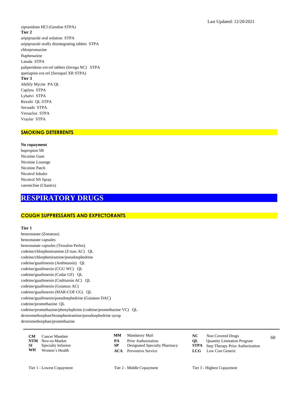ziprasidone HCl (Geodon STPA) Tier 2 aripiprazole oral solution STPA aripiprazole orally disintegrating tablets STPA chlorpromazine fluphenazine Latuda STPA paliperidone ext-rel tablets (Invega NC) STPA quetiapine ext-rel (Seroquel XR STPA) Tier 3 Abilify Mycite PA QL Caplyta STPA Lybalvi STPA Rexulti QL STPA Secuado STPA Versacloz STPA Vraylar STPA

# **SMOKING DETERRENTS**

No copayment bupropion SR Nicotine Gum Nicotine Lozenge Nicotine Patch Nicotrol Inhaler Nicotrol NS Spray varenicline (Chantix)

# **RESPIRATORY DRUGS**

# **COUGH SUPPRESSANTS AND EXPECTORANTS**

#### Tier 1

benzonatate (Zonatuss) benzonatate capsules benzonatate capsules (Tessalon Perles) codeine/chlorpheniramine (Z-tuss AC) QL codeine/chlorpheniramine/pseudoephedrine codeine/guaifenesin (Ambitussin) QL codeine/guaifenesin (CGU WC) QL codeine/guaifenesin (Codar GF) QL codeine/guaifenesin (Coditussin AC) QL codeine/guaifenesin (Guiatuss AC) codeine/guaifenesin (MAR-COF CG) QL codeine/guaifenesin/pseudoephedrine (Guiatuss DAC) codeine/promethazine QL codeine/promethazine/phenylephrine (codeine/promethazine VC) QL dextromethorphan/brompheniramine/pseudoephedrine syrup  $dextromethorphan/promethazine$ 

| CМ  | Cancer Mandate     |
|-----|--------------------|
| NTM | New-to-Market      |
| SI  | Specialty Infusion |
| WH  | Women's Health     |

 $\mathbf{M}\mathbf{M}$ Mandatory Mail

- PA Prior Authorization  ${\bf SP}$
- Designated Specialty Pharmacy
- **ACA** Preventive Service
- $NC$ Non Covered Drugs
- **OL** Quantity Limitation Program
- ${\bf STPA}$ Step Therapy Prior Authorization
- $LCG$ Low Cost Generic

60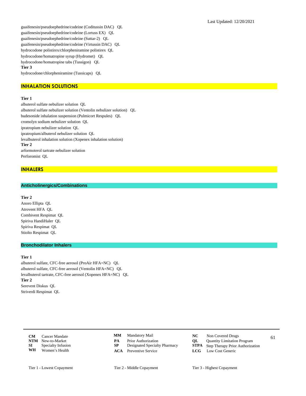guaifenesin/pseudoephedrine/codeine (Coditussin DAC) QL guaifenesin/pseudoephedrine/codeine (Lortuss EX) QL guaifenesin/pseudoephedrine/codeine (Suttar-2) QL guaifenesin/pseudoephedrine/codeine (Virtussin DAC) QL hydrocodone polistirex/chlorpheniramine polistirex QL hydrocodone/homatropine syrup (Hydromet) QL hydrocodone/homatropine tabs (Tussigon) QL **Tier 3**

hydrocodone/chlorpheniramine (Tussicaps) QL

# **INHALATION SOLUTIONS**

#### **Tier 1**

albuterol sulfate nebulizer solution QL albuterol sulfate nebulizer solution (Ventolin nebulizer solution) QL budesonide inhalation suspension (Pulmicort Respules) QL cromolyn sodium nebulizer solution QL ipratropium nebulizer solution QL ipratropium/albuterol nebulizer solution QL levalbuterol inhalation solution (Xopenex inhalation solution) **Tier 2** arformoterol tartrate nebulizer solution Perforomist QL

## **INHALERS**

# **Anticholinergics/Combinations**

#### **Tier 2**

Anoro Ellipta QL Atrovent HFA QL Combivent Respimat QL Spiriva HandiHaler QL Spiriva Respimat QL Stiolto Respimat QL

#### **Bronchodilator Inhalers**

#### **Tier 1**

albuterol sulfate, CFC-free aerosol (ProAir HFA=NC) QL albuterol sulfate, CFC-free aerosol (Ventolin HFA=NC) QL levalbuterol tartrate, CFC-free aerosol (Xopenex HFA=NC) QL **Tier 2** Serevent Diskus QL Striverdi Respimat QL

**CM** Cancer Mandate **CMM** Mandatory Mail **CC** Non Covered Drugs 61 **NTM** New-to-Market **PA** Prior Authorization **QL** Quantity Limitation Program<br> **SP** Designated Specialty Pharmacy **STPA** Step Therapy Prior Authoriza **SI** Specialty Infusion **SP** Designated Specialty Pharmacy **STPA** Step Therapy Prior Authorization **WH** Women's Health **ACA** Preventive Service **LCG** Low Cost Generic **Women's Health** 

- 
- 
- **ACA** Preventive Service **LCG** Low Cost Generic
- -
	- -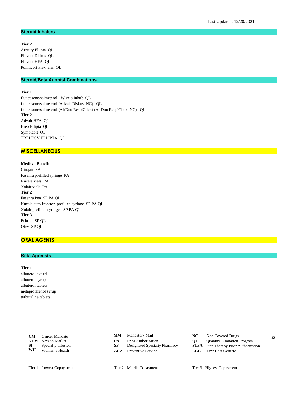#### **Steroid Inhalers**

## **Tier 2**

Arnuity Ellipta QL Flovent Diskus QL Flovent HFA QL Pulmicort Flexhaler QL

# **Steroid/Beta Agonist Combinations**

## **Tier 1**

fluticasone/salmeterol - Wixela Inhub QL fluticasone/salmeterol (Advair Diskus=NC) QL fluticasone/salmeterol (AirDuo RespiClick) (AirDuo RespiClick=NC) QL **Tier 2** Advair HFA QL Breo Ellipta QL Symbicort QL TRELEGY ELLIPTA QL

# **MISCELLANEOUS**

**Medical Benefit** Cinqair PA Fasenra prefilled syringe PA Nucala vials PA Xolair vials PA **Tier 2** Fasenra Pen SP PA QL Nucala auto-injector, prefilled syringe SP PA QL Xolair prefilled syringes SP PA QL **Tier 3** Esbriet SP QL Ofev SP QL

# **ORAL AGENTS**

## **Beta Agonists**

#### **Tier 1**

albuterol ext-rel albuterol syrup albuterol tablets metaproterenol syrup terbutaline tablets

> **CM** Cancer Mandate **CMM** Mandatory Mail **NC** Non Covered Drugs 62 **NTM** New-to-Market **PA** Prior Authorization **QL** Quantity Limitation Program<br> **SP** Designated Specialty Pharmacy **STPA** Step Therapy Prior Authoriza **SI** Specialty Infusion **SP** Designated Specialty Pharmacy **STPA** Step Therapy Prior Authorization **WH** Women's Health **ACA** Preventive Service **LCG** Low Cost Generic **Women's Health**

- Mandatory Mail **NC** Non Covered Drugs **MM**
- 
- 
- **ACA** Preventive Service **LCG** Low Cost Generic
- -
	- -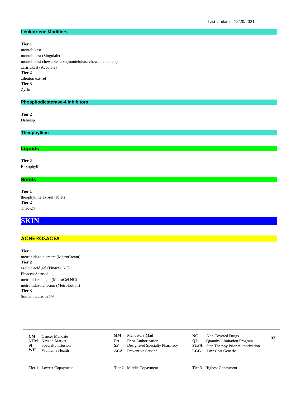#### **Leukotriene Modifiers**

## **Tier 1**

montelukast montelukast (Singulair) montelukast chewable tabs (montelukast chewable tablets) zafirlukast (Accolate) **Tier 2** zileuton ext-rel **Tier 3** Zyflo

## **Phosphodiesterase-4 Inhibitors**

**Tier 2** Daliresp

**Theophylline**

# **Liquids**

**Tier 2** Elixophyllin

# **Solids**

**Tier 1** theophylline ext-rel tablets **Tier 2** Theo-24

# **SKIN**

## **ACNE ROSACEA**

**Tier 1** metronidazole cream (MetroCream) **Tier 2** azelaic acid gel (Finacea NC) Finacea Aerosol metronidazole gel (MetroGel NC) metronidazole lotion (MetroLotion) **Tier 3** Soolantra cream 1%

> **CM** Cancer Mandate **CMM** Mandatory Mail **NC** Non Covered Drugs 63 **NTM** New-to-Market **PA** Prior Authorization **QL** Quantity Limitation Program<br> **SP** Designated Specialty Pharmacy **STPA** Step Therapy Prior Authoriza **SI** Specialty Infusion **SP** Designated Specialty Pharmacy **STPA** Step Therapy Prior Authorization **WH** Women's Health **ACA** Preventive Service **LCG** Low Cost Generic **Women's Health**

- Mandatory Mail **NC** Non Covered Drugs **MM**
- 
- 
- **ACA** Preventive Service **LCG** Low Cost Generic
- -
	- -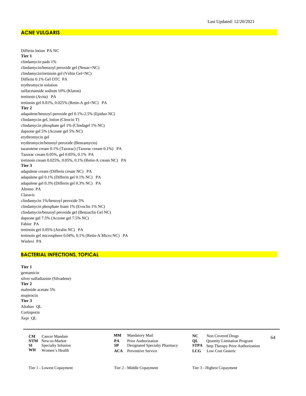# **ACNE VULGARIS**

Differin lotion PA NC **Tier 1** clindamycin pads 1% clindamycin/benzoyl peroxide gel (Neuac=NC) clindamycin/tretinoin gel (Veltin Gel=NC) Differin 0.1% Gel OTC PA erythromycin solution sulfacetamide sodium 10% (Klaron) tretinoin (Avita) PA tretinoin gel 0.01%, 0.025% (Retin-A gel=NC) PA **Tier 2** adapalene/benzoyl peroxide gel 0.1%-2.5% (Epiduo NC) clindamycin gel, lotion (Cleocin T) clindamycin phosphate gel 1% (Clindagel 1% NC) dapsone gel 5% (Aczone gel 5% NC) erythromycin gel erythromycin/benzoyl peroxide (Benzamycin) tazarotene cream 0.1% (Tazorac) (Tazorac cream 0.1%) PA Tazorac cream 0.05%, gel 0.05%, 0.1% PA tretinoin cream 0.025%, 0.05%, 0.1% (Retin-A cream NC) PA **Tier 3** adapalene cream (Differin cream NC) PA adapalene gel 0.1% (Differin gel 0.1% NC) PA adapalene gel 0.3% (Differin gel 0.3% NC) PA Altreno PA Claravis clindamycin 1%/benzoyl peroxide 5% clindamycin phosphate foam 1% (Evoclin 1% NC) clindamycin/benzoyl peroxide gel (Benzaclin Gel NC) dapsone gel 7.5% (Aczone gel 7.5% NC) Fabior PA tretinoin gel 0.05% (Atralin NC) PA tretinoin gel microsphere 0.04%, 0.1% (Retin-A Micro NC) PA Winlevi PA

# **BACTERIAL INFECTIONS, TOPICAL**

## **Tier 1**

gentamicin silver sulfadiazine (Silvadene) **Tier 2** mafenide acetate 5% mupirocin **Tier 3** Altabax QL Cortisporin Xepi QL

|    | <b>CM</b> Cancer Mandate     |    | <b>MM</b> Mandatory Mail      | NC - | Non Covered Drugs                            | 64 |
|----|------------------------------|----|-------------------------------|------|----------------------------------------------|----|
|    | <b>NTM</b> New-to-Market     | PA | <b>Prior Authorization</b>    | OL   | <b>Quantity Limitation Program</b>           |    |
|    | <b>SI</b> Specialty Infusion |    | Designated Specialty Pharmacy |      | <b>STPA</b> Step Therapy Prior Authorization |    |
| WH | Women's Health               |    | <b>ACA</b> Preventive Service |      | <b>LCG</b> Low Cost Generic                  |    |

- **MM**
- **PA** Prior Authorization<br> **NTM** Step Therapy Prior Authorization Program<br> **STPA** Step Therapy Prior Authoriza
- 
- **ACA** Preventive Service **LCG** Low Cost Generic
- Mandatory Mail **NC** Non Covered Drugs
	-
	- **Step Therapy Prior Authorization** 
		-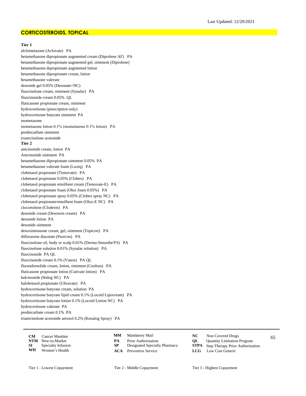## **CORTICOSTEROIDS, TOPICAL**

#### **Tier 1**

alclometasone (Aclovate) PA betamethasone dipropionate augmented cream (Diprolene AF) PA betamethasone dipropionate augmented gel, ointment (Diprolene) betamethasone dipropionate augmented lotion betamethasone dipropionate cream, lotion betamethasone valerate desonide gel 0.05% (Desonate=NC) fluocinolone cream, ointment (Synalar) PA fluocinonide cream 0.05% QL fluticasone propionate cream, ointment hydrocortisone (prescription only) hydrocortisone butyrate ointment PA mometasone mometasone lotion 0.1% (mometasone 0.1% lotion) PA prednicarbate ointment triamcinolone acetonide **Tier 2** amcinonide cream, lotion PA Amcinonide ointment PA betamethasone dipropionate ointment 0.05% PA betamethasone valerate foam (Luxiq) PA clobetasol propionate (Temovate) PA clobetasol propionate 0.05% (Clobex) PA clobetasol propionate emollient cream (Temovate-E) PA clobetasol propionate foam (Olux foam 0.05%) PA clobetasol propionate spray 0.05% (Clobex spray NC) PA clobetasol propionate/emollient foam (Olux-E NC) PA clocortolone (Cloderm) PA desonide cream (Desowen cream) PA desonide lotion PA desonide ointment desoximetasone cream, gel, ointment (Topicort) PA diflorasone diacetate (Psorcon) PA fluocinolone oil, body or scalp 0.01% (Derma-Smoothe/FS) PA fluocinolone solution 0.01% (Synalar solution) PA fluocinonide PA QL fluocinonide cream 0.1% (Vanos) PA QL flurandrenolide cream, lotion, ointment (Cordran) PA fluticasone propionate lotion (Cutivate lotion) PA halcinonide (Halog NC) PA halobetasol propionate (Ultravate) PA hydrocortisone butyrate cream, solution PA hydrocortisone butyrate lipid cream 0.1% (Locoid Lipocream) PA hydrocortisone butyrate lotion 0.1% (Locoid Lotion NC) PA hydrocortisone valerate PA prednicarbate cream 0.1% PA triamcinolone acetonide aerosol 0.2% (Kenalog Spray) PA

| <b>CM</b> | <b>Cancer Mandate</b>    | MМ  | Mandatory Mail                | NC | Non Covered Drugs                            | 65 |
|-----------|--------------------------|-----|-------------------------------|----|----------------------------------------------|----|
|           | <b>NTM</b> New-to-Market |     | Prior Authorization           | OL | <b>Quantity Limitation Program</b>           |    |
| SI        | Specialty Infusion       | SP. | Designated Specialty Pharmacy |    | <b>STPA</b> Step Therapy Prior Authorization |    |
| WH        | Women's Health           |     | <b>ACA</b> Preventive Service |    | <b>LCG</b> Low Cost Generic                  |    |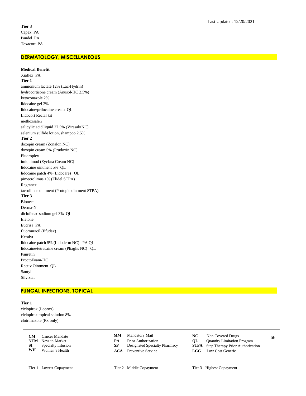# **DERMATOLOGY, MISCELLANEOUS**

**Medical Benefit** Xiaflex PA **Tier 1** ammonium lactate 12% (Lac-Hydrin) hydrocortisone cream (Anusol-HC 2.5%) ketoconazole 2% lidocaine gel 2% lidocaine/prilocaine cream QL Lidocort Rectal kit methoxsalen salicylic acid liquid 27.5% (Virasal=NC) selenium sulfide lotion, shampoo 2.5% **Tier 2** doxepin cream (Zonalon NC) doxepin cream 5% (Prudoxin NC) Fluoroplex imiquimod (Zyclara Cream NC) lidocaine ointment 5% QL lidocaine patch 4% (Lidocare) QL pimecrolimus 1% (Elidel STPA) Regranex tacrolimus ointment (Protopic ointment STPA) **Tier 3** Bionect Derma-N diclofenac sodium gel 3% QL Eletone Eucrisa PA fluorouracil (Efudex) Keralyt lidocaine patch 5% (Lidoderm NC) PA QL lidocaine/tetracaine cream (Pliaglis NC) QL Panretin ProctoFoam-HC Rectiv Ointment QL Santyl Silvrstat

# **FUNGAL INFECTIONS, TOPICAL**

**Tier 1** ciclopirox (Loprox)

ciclopirox topical solution 8% clotrimazole (Rx only)

> **CM** Cancer Mandate **CMM** Mandatory Mail **CC** Non Covered Drugs 66 **NTM** New-to-Market **PA** Prior Authorization **QL** Quantity Limitation Program<br> **SP** Designated Specialty Pharmacy **STPA** Step Therapy Prior Authoriza **SI** Specialty Infusion **SP** Designated Specialty Pharmacy **STPA** Step Therapy Prior Authorization **WH** Women's Health **ACA** Preventive Service **LCG** Low Cost Generic Women's Health

- **MM**
- 
- 
- Mandatory Mail **NC** Non Covered Drugs
	- -
- **ACA** Preventive Service **LCG** Low Cost Generic
- Tier 1 Lowest Copayment Tier 2 Middle Copayment Tier 3 Highest Copayment
	-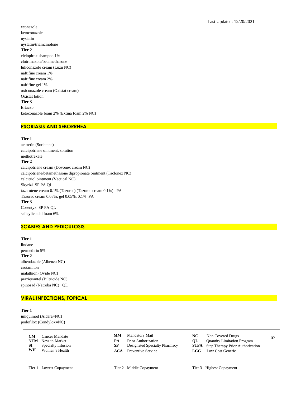econazole ketoconazole nystatin nystatin/triamcinolone **Tier 2** ciclopirox shampoo 1% clotrimazole/betamethasone luliconazole cream (Luzu NC) naftifine cream 1% naftifine cream 2% naftifine gel 1% oxiconazole cream (Oxistat cream) Oxistat lotion **Tier 3** Ertaczo ketoconazole foam 2% (Extina foam 2% NC)

# **PSORIASIS AND SEBORRHEA**

**Tier 1** acitretin (Soriatane) calcipotriene ointment, solution methotrexate **Tier 2** calcipotriene cream (Dovonex cream NC) calcipotriene/betamethasone dipropionate ointment (Taclonex NC) calcitriol ointment (Vectical NC) Skyrizi SP PA QL tazarotene cream 0.1% (Tazorac) (Tazorac cream 0.1%) PA Tazorac cream 0.05%, gel 0.05%, 0.1% PA **Tier 3** Cosentyx SP PA QL salicylic acid foam 6%

## **SCABIES AND PEDICULOSIS**

**Tier 1** lindane permethrin 5% **Tier 2** albendazole (Albenza NC) crotamiton malathion (Ovide NC) praziquantel (Biltricide NC) spinosad (Natroba NC) QL

# **VIRAL INFECTIONS, TOPICAL**

**Tier 1** imiquimod (Aldara=NC) podofilox (Condylox=NC)

|      | <b>CM</b> Cancer Mandate  |    | <b>MM</b> Mandatory Mail      |    | Non Covered Drugs                            | 67 |
|------|---------------------------|----|-------------------------------|----|----------------------------------------------|----|
|      | <b>NTM</b> New-to-Market  | PА | <b>Prior Authorization</b>    | OL | <b>Quantity Limitation Program</b>           |    |
| SI – | <b>Specialty Infusion</b> |    | Designated Specialty Pharmacy |    | <b>STPA</b> Step Therapy Prior Authorization |    |
| WH   | Women's Health            |    | <b>ACA</b> Preventive Service |    | <b>LCG</b> Low Cost Generic                  |    |

**MM**

- 
- 
- Mandatory Mail **NC** Non Covered Drugs
	-
- **PA** Prior Authorization<br> **NTM** Step Therapy Prior Authorization Program<br> **STPA** Step Therapy Prior Authoriza **Step Therapy Prior Authorization**
- **ACA** Preventive Service **LCG** Low Cost Generic

Tier 1 - Lowest Copayment Tier 2 - Middle Copayment Tier 3 - Highest Copayment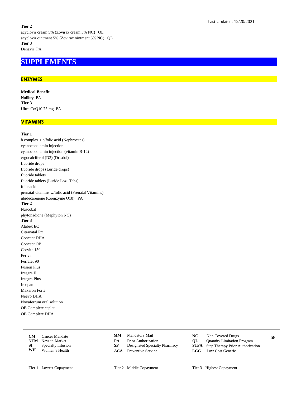#### **Tier 2**

acyclovir cream 5% (Zovirax cream 5% NC) QL acyclovir ointment 5% (Zovirax ointment 5% NC) QL **Tier 3** Denavir PA

# **SUPPLEMENTS**

# **ENZYMES**

**Medical Benefit** Nulibry PA **Tier 3** Ultra CoQ10 75 mg PA

# **VITAMINS**

#### **Tier 1**

b complex + c/folic acid (Nephrocaps) cyanocobalamin injection cyanocobalamin injection (vitamin B-12) ergocalciferol (D2) (Drisdol) fluoride drops fluoride drops (Luride drops) fluoride tablets fluoride tablets (Luride Lozi-Tabs) folic acid prenatal vitamins w/folic acid (Prenatal Vitamins) ubidecarenone (Coenzyme Q10) PA **Tier 2** Nascobal phytonadione (Mephyton NC) **Tier 3** Atabex EC Citranatal Rx Concept DHA Concept OB Corvite 150 Feriva Ferralet 90 Fusion Plus Integra F Integra Plus Irospan Maxaron Forte Neevo DHA Novaferrum oral solution OB Complete caplet OB Complete DHA

|      | <b>CM</b> Cancer Mandate  |    | <b>MM</b> Mandatory Mail      | NC. | Non Covered Drugs                            | 68 |
|------|---------------------------|----|-------------------------------|-----|----------------------------------------------|----|
|      | <b>NTM</b> New-to-Market  | PА | <b>Prior Authorization</b>    | OL  | <b>Quantity Limitation Program</b>           |    |
| SI – | <b>Specialty Infusion</b> |    | Designated Specialty Pharmacy |     | <b>STPA</b> Step Therapy Prior Authorization |    |
| WH   | Women's Health            |    | <b>ACA</b> Preventive Service |     | <b>LCG</b> Low Cost Generic                  |    |

- **MM**
- 
- 
- 
- Mandatory Mail **NC** Non Covered Drugs
	-
- **PA** Prior Authorization<br> **NTM** Designated Specialty Pharmacy<br> **STPA** Step Therapy Prior Authoriza **Step Therapy Prior Authorization**
- **ACA** Preventive Service **LCG** Low Cost Generic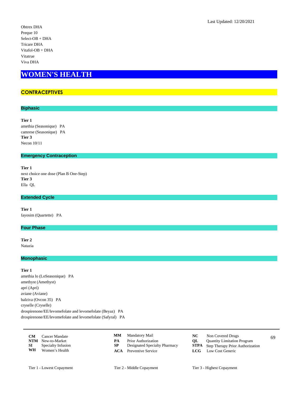# **WOMEN'S HEALTH**

# **CONTRACEPTIVES**

## **Biphasic**

**Tier 1**

amethia (Seasonique) PA camrese (Seasonique) PA **Tier 3** Necon 10/11

### **Emergency Contraception**

**Tier 1** next choice one dose (Plan B One-Step) **Tier 3** Ella QL

## **Extended Cycle**

**Tier 1** fayosim (Quartette) PA

## **Four Phase**

**Tier 2** Natazia

## **Monophasic**

**Tier 1** amethia lo (LoSeasonique) PA amethyst (Amethyst) apri (Apri) aviane (Aviane) balziva (Ovcon 35) PA cryselle (Cryselle) drospirenone/EE/levomefolate and levomefolate (Beyaz) PA drospirenone/EE/levomefolate and levomefolate (Safyral) PA

| <b>CM</b> | Cancer Mandate           |    | <b>MM</b> Mandatory Mail      | NC - | Non Covered Drugs                            | 69 |
|-----------|--------------------------|----|-------------------------------|------|----------------------------------------------|----|
|           | <b>NTM</b> New-to-Market | PА | <b>Prior Authorization</b>    | OL – | <b>Quantity Limitation Program</b>           |    |
| SI –      | Specialty Infusion       |    | Designated Specialty Pharmacy |      | <b>STPA</b> Step Therapy Prior Authorization |    |
| WH        | Women's Health           |    | <b>ACA</b> Preventive Service |      | <b>LCG</b> Low Cost Generic                  |    |

- Mandatory Mail **NC** Non Covered Drugs **MM**
- **PA** Prior Authorization<br> **NTM** Step Therapy Prior Authorization Program<br> **STPA** Step Therapy Prior Authoriza
- 
- **ACA** Preventive Service **LCG** Low Cost Generic
- -
- **Step Therapy Prior Authorization**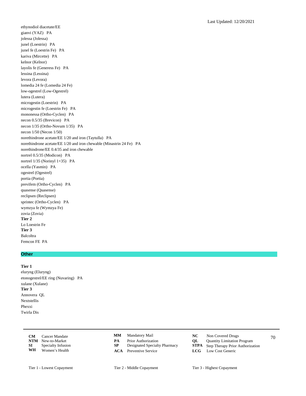ethynodiol diacetate/EE gianvi (YAZ) PA jolessa (Jolessa) junel (Loestrin) PA junel fe (Loestrin Fe) PA kariva (Mircette) PA kelnor (Kelnor) layolis fe (Generess Fe) PA lessina (Lessina) levora (Levora) lomedia 24 fe (Lomedia 24 Fe) low-ogestrel (Low-Ogestrel) lutera (Lutera) microgestin (Loestrin) PA microgestin fe (Loestrin Fe) PA mononessa (Ortho-Cyclen) PA necon 0.5/35 (Brevicon) PA necon 1/35 (Ortho-Novum 1/35) PA necon 1/50 (Necon 1/50) norethindrone acetate/EE 1/20 and iron (Taytulla) PA norethindrone acetate/EE 1/20 and iron chewable (Minastrin 24 Fe) PA norethindrone/EE 0.4/35 and iron chewable nortrel 0.5/35 (Modicon) PA nortrel  $1/35$  (Norinyl  $1+35$ ) PA ocella (Yasmin) PA ogestrel (Ogestrel) portia (Portia) previfem (Ortho-Cyclen) PA quasense (Quasense) reclipsen (Reclipsen) sprintec (Ortho-Cyclen) PA wymzya fe (Wymzya Fe) zovia (Zovia) Tier 2 Lo Loestrin Fe Tier 3 Balcoltra Femcon FE PA

# **Other**

#### Tier 1

eluryng (Eluryng) etonogestrel/EE ring (Nuvaring) PA xulane (Xulane) Tier 3 Annovera QL Nextstellis Phexxi Twirla Dis

| CМ  | Cancer Mandate     |
|-----|--------------------|
| NTM | New-to-Market      |
| SІ  | Specialty Infusion |
| WH  | Women's Health     |

- $\mathbf{M}\mathbf{M}$ Mandatory Mail
- PA Prior Authorization
- ${\bf SP}$ Designated Specialty Pharmacy
- **ACA** Preventive Service
- $NC$ Non Covered Drugs QL
	- Quantity Limitation Program  ${\bf STPA}$
	- Step Therapy Prior Authorization  $LCG$ 
		- Low Cost Generic

70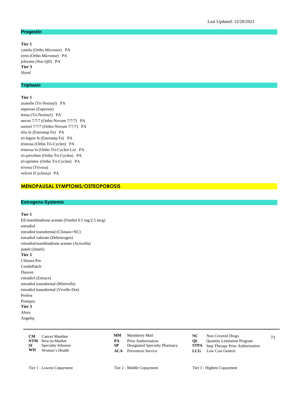#### **Progestin**

# **Tier 1**

camila (Ortho Micronor) PA errin (Ortho Micronor) PA jolivette (Nor-QD) PA **Tier 3** Slynd

# **Triphasic**

#### **Tier 1**

aranelle (Tri-Norinyl) PA enpresse (Enpresse) leena (Tri-Norinyl) PA necon 7/7/7 (Ortho-Novum 7/7/7) PA nortrel 7/7/7 (Ortho-Novum 7/7/7) PA tilia fe (Estrostep Fe) PA tri-legest fe (Estrostep Fe) PA trinessa (Ortho Tri-Cyclen) PA trinessa lo (Ortho Tri-Cyclen Lo) PA tri-previfem (Ortho Tri-Cyclen) PA tri-sprintec (Ortho Tri-Cyclen) PA trivora (Trivora) velivet (Cyclessa) PA

## **MENOPAUSAL SYMPTOMS/OSTEOPOROSIS**

#### **Estrogens-Systemic**

#### **Tier 1**

EE/norethindrone acetate (Femhrt 0.5 mg/2.5 mcg) estradiol estradiol transdermal (Climara=NC) estradiol valerate (Delestrogen) estradiol/norethindrone acetate (Activella) jinteli (Jinteli) **Tier 2** Climara Pro CombiPatch Duavee estradiol (Estrace) estradiol transdermal (Minivelle) estradiol transdermal (Vivelle-Dot) Prefest Prempro **Tier 3** Alora Angeliq

|    | <b>CM</b> Cancer Mandate     |    | <b>MM</b> Mandatory Mail      | NC. | Non Covered Drugs                            | 71 |
|----|------------------------------|----|-------------------------------|-----|----------------------------------------------|----|
|    | <b>NTM</b> New-to-Market     | PА | <b>Prior Authorization</b>    | OL. | <b>Quantity Limitation Program</b>           |    |
|    | <b>SI</b> Specialty Infusion |    | Designated Specialty Pharmacy |     | <b>STPA</b> Step Therapy Prior Authorization |    |
| WH | Women's Health               |    | <b>ACA</b> Preventive Service |     | <b>LCG</b> Low Cost Generic                  |    |

- **MM**
- 
- 
- 
- Mandatory Mail **NC** Non Covered Drugs
	-
- **PA** Prior Authorization<br> **NTM** Step Therapy Prior Authorization Program<br> **STPA** Step Therapy Prior Authoriza **Step Therapy Prior Authorization**
- **ACA** Preventive Service **LCG** Low Cost Generic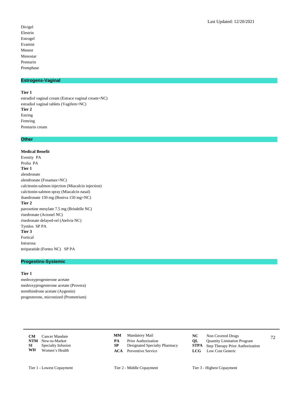Divigel Elestrin Estrogel Evamist Menest Menostar Premarin Premphase

# **Estrogens-Vaginal**

#### **Tier 1**

estradiol vaginal cream (Estrace vaginal cream=NC) estradiol vaginal tablets (Vagifem=NC) **Tier 2** Estring Femring Premarin cream

### **Other**

#### **Medical Benefit**

Evenity PA Prolia PA **Tier 1** alendronate alendronate (Fosamax=NC) calcitonin-salmon injection (Miacalcin injection) calcitonin-salmon spray (Miacalcin nasal) ibandronate 150 mg (Boniva 150 mg=NC) **Tier 2** paroxetine mesylate 7.5 mg (Brisdelle NC) risedronate (Actonel NC) risedronate delayed-rel (Atelvia NC) Tymlos SP PA **Tier 3** Fortical Intrarosa teriparatide (Forteo NC) SP PA

# **Progestins-Systemic**

## **Tier 1**

medroxyprogesterone acetate medroxyprogesterone acetate (Provera) norethindrone acetate (Aygestin) progesterone, micronized (Prometrium)

|      | <b>CM</b> Cancer Mandate  |    | <b>MM</b> Mandatory Mail      | NC.  | Non Covered Drugs                            | 72 |
|------|---------------------------|----|-------------------------------|------|----------------------------------------------|----|
|      | <b>NTM</b> New-to-Market  | PА | <b>Prior Authorization</b>    | OL – | <b>Quantity Limitation Program</b>           |    |
| SI – | <b>Specialty Infusion</b> |    | Designated Specialty Pharmacy |      | <b>STPA</b> Step Therapy Prior Authorization |    |
| WH   | Women's Health            |    | <b>ACA</b> Preventive Service |      | <b>LCG</b> Low Cost Generic                  |    |

- Mandatory Mail **NC** Non Covered Drugs **MM**
- **PA** Prior Authorization<br> **NTM** Designated Specialty Pharmacy<br> **STPA** Step Therapy Prior Authoriza
- 
- -
- **Step Therapy Prior Authorization ACA** Preventive Service **LCG** Low Cost Generic
	-
- Tier 1 Lowest Copayment Tier 2 Middle Copayment Tier 3 Highest Copayment